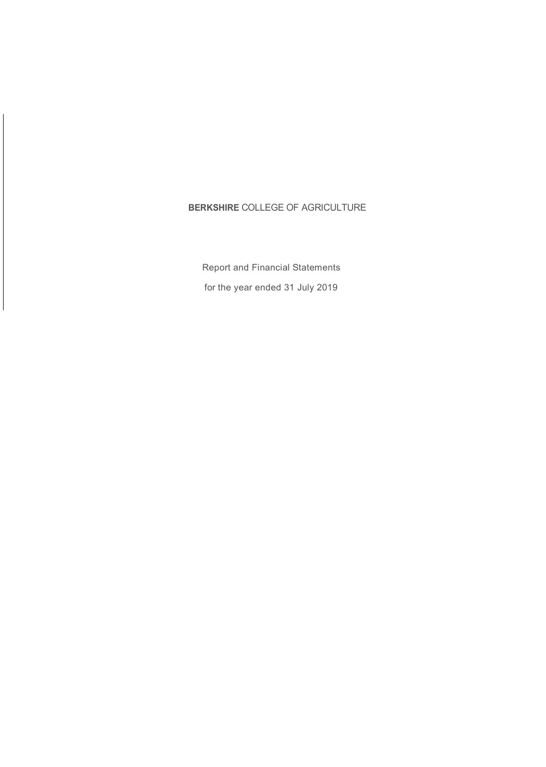### **BERKSHIRE** COLLEGE OF AGRICULTURE

Report and Financial Statements for the year ended 31 July 2019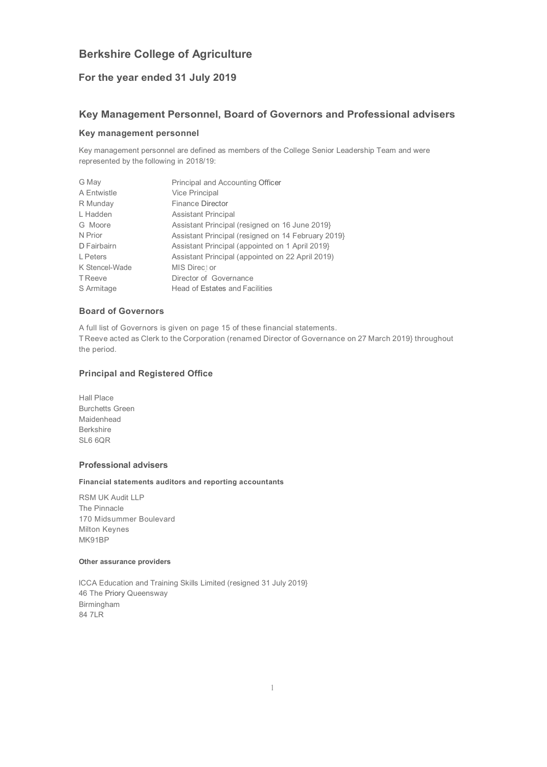### **For the year ended 31 July 2019**

### **Key Management Personnel, Board of Governors and Professional advisers**

### **Key management personnel**

Key management personnel are defined as members of the College Senior Leadership Team and were represented by the following in 2018/19:

| G May          | Principal and Accounting Officer                   |
|----------------|----------------------------------------------------|
| A Entwistle    | Vice Principal                                     |
| R Munday       | <b>Finance Director</b>                            |
| L Hadden       | <b>Assistant Principal</b>                         |
| G Moore        | Assistant Principal (resigned on 16 June 2019)     |
| N Prior        | Assistant Principal (resigned on 14 February 2019) |
| D Fairbairn    | Assistant Principal (appointed on 1 April 2019)    |
| L Peters       | Assistant Principal (appointed on 22 April 2019)   |
| K Stencel-Wade | MIS Direct or                                      |
| <b>T</b> Reeve | Director of Governance                             |
| S Armitage     | <b>Head of Estates and Facilities</b>              |

### **Board of Governors**

A full list of Governors is given on page 15 of these financial statements. T Reeve acted as Clerk to the Corporation (renamed Director of Governance on 27 March 2019} throughout the period.

### **Principal and Registered Office**

Hall Place Burchetts Green Maidenhead Berkshire SL6 6QR

### **Professional advisers**

#### **Financial statements auditors and reporting accountants**

RSM UK Audit LLP The Pinnacle 170 Midsummer Boulevard Milton Keynes MK91BP

#### **Other assurance providers**

ICCA Education and Training Skills Limited (resigned 31 July 2019} 46 The Priory Queensway Birmingham 84 7LR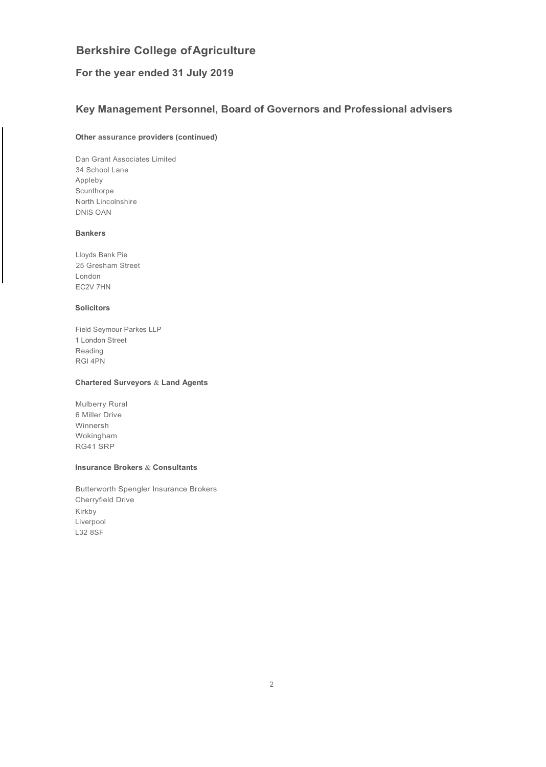### **For the year ended 31 July 2019**

### **Key Management Personnel, Board of Governors and Professional advisers**

### **Other assurance providers (continued)**

Dan Grant Associates Limited 34 School Lane Appleby Scunthorpe North Lincolnshire DNlS OAN

#### **Bankers**

Lloyds Bank Pie 25 Gresham Street London EC2V 7HN

### **Solicitors**

Field Seymour Parkes LLP 1 London Street Reading RGl 4PN

### **Chartered Surveyors** & **Land Agents**

Mulberry Rural 6 Miller Drive Winnersh Wokingham RG41 SRP

#### **Insurance Brokers** & **Consultants**

Butterworth Spengler Insurance Brokers Cherryfield Drive Kirkby Liverpool L32 8SF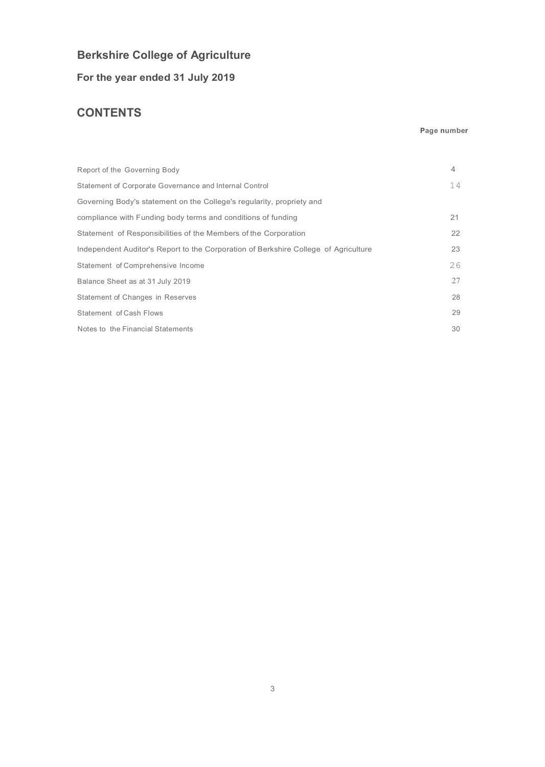**For the year ended 31 July 2019**

## **CONTENTS**

### **Page number**

| Report of the Governing Body                                                        | 4  |
|-------------------------------------------------------------------------------------|----|
| Statement of Corporate Governance and Internal Control                              | 14 |
| Governing Body's statement on the College's regularity, propriety and               |    |
| compliance with Funding body terms and conditions of funding                        | 21 |
| Statement of Responsibilities of the Members of the Corporation                     | 22 |
| Independent Auditor's Report to the Corporation of Berkshire College of Agriculture | 23 |
| Statement of Comprehensive Income                                                   | 26 |
| Balance Sheet as at 31 July 2019                                                    | 27 |
| Statement of Changes in Reserves                                                    | 28 |
| Statement of Cash Flows                                                             | 29 |
| Notes to the Financial Statements                                                   | 30 |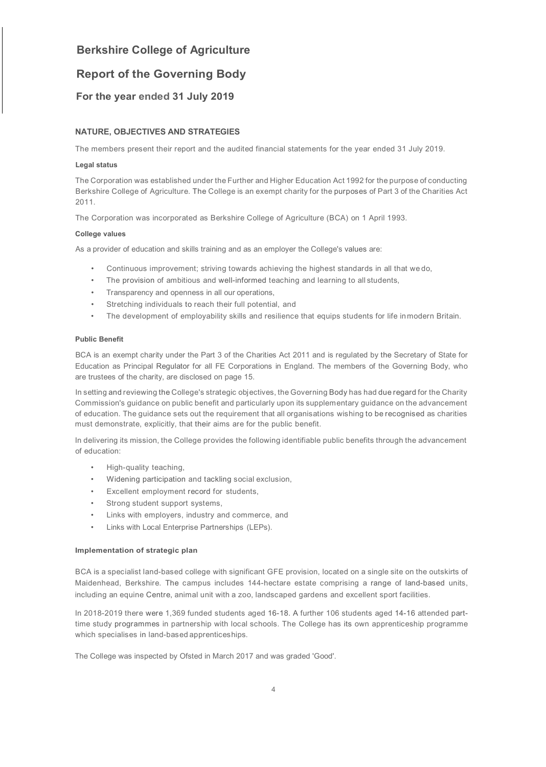### **Report of the Governing Body**

### **For the year ended 31 July 2019**

### **NATURE, OBJECTIVES AND STRATEGIES**

The members present their report and the audited financial statements for the year ended 31 July 2019.

### **Legal status**

The Corporation was established under the Further and Higher Education Act 1992 for the purpose of conducting Berkshire College of Agriculture. The College is an exempt charity for the purposes of Part 3 of the Charities Act 2011.

The Corporation was incorporated as Berkshire College of Agriculture (BCA) on 1 April 1993.

### **College values**

As a provider of education and skills training and as an employer the College's values are:

- Continuous improvement; striving towards achieving the highest standards in all that we do,
- The provision of ambitious and well-informed teaching and learning to all students,
- Transparency and openness in all our operations,
- Stretching individuals to reach their full potential, and
- The development of employability skills and resilience that equips students for life inmodern Britain.

### **Public Benefit**

BCA is an exempt charity under the Part 3 of the Charities Act 2011 and is regulated by the Secretary of State for Education as Principal Regulator for all FE Corporations in England. The members of the Governing Body, who are trustees of the charity, are disclosed on page 15.

In setting and reviewing the College's strategic objectives, the Governing Body has had due regard for the Charity Commission's guidance on public benefit and particularly upon its supplementary guidance on the advancement of education. The guidance sets out the requirement that all organisations wishing to be recognised as charities must demonstrate, explicitly, that their aims are for the public benefit.

In delivering its mission, the College provides the following identifiable public benefits through the advancement of education:

- High-quality teaching,
- Widening participation and tackling social exclusion,
- Excellent employment record for students,
- Strong student support systems,
- Links with employers, industry and commerce, and
- Links with Local Enterprise Partnerships (LEPs).

### **Implementation of strategic plan**

BCA is a specialist land-based college with significant GFE provision, located on a single site on the outskirts of Maidenhead, Berkshire. The campus includes 144-hectare estate comprising a range of land-based units, including an equine Centre, animal unit with a zoo, landscaped gardens and excellent sport facilities.

In 2018-2019 there were 1,369 funded students aged 16-18. A further 106 students aged 14-16 attended parttime study programmes in partnership with local schools. The College has its own apprenticeship programme which specialises in land-based apprenticeships.

The College was inspected by Ofsted in March 2017 and was graded 'Good'.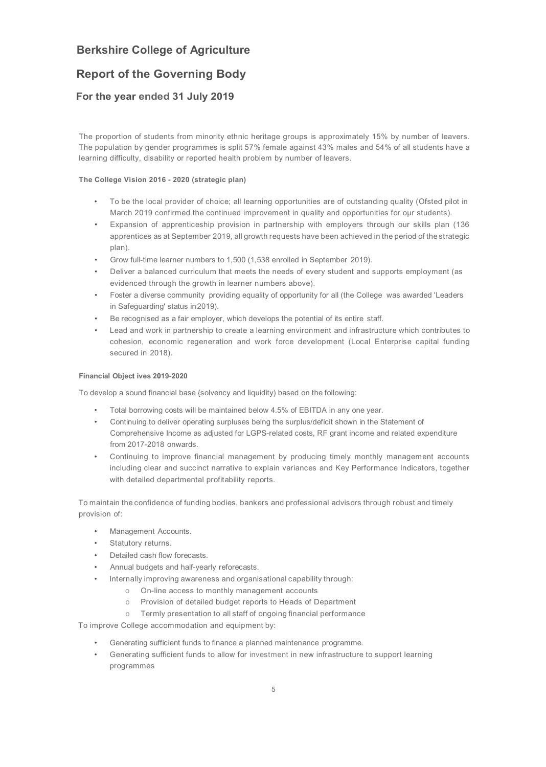### **Report of the Governing Body**

### **For the year ended 31 July 2019**

The proportion of students from minority ethnic heritage groups is approximately 15% by number of leavers. The population by gender programmes is split 57% female against 43% males and 54% of all students have a learning difficulty, disability or reported health problem by number of leavers.

### **The College Vision 2016 - 2020 (strategic plan)**

- To be the local provider of choice; all learning opportunities are of outstanding quality (Ofsted pilot in March 2019 confirmed the continued improvement in quality and opportunities for our students).
- Expansion of apprenticeship provision in partnership with employers through our skills plan (136 apprentices as at September 2019, all growth requests have been achieved in the period of the strategic plan).
- Grow full-time learner numbers to 1,500 (1,538 enrolled in September 2019).
- Deliver a balanced curriculum that meets the needs of every student and supports employment (as evidenced through the growth in learner numbers above).
- Foster a diverse community providing equality of opportunity for all (the College was awarded 'Leaders in Safeguarding' status in2019).
- Be recognised as a fair employer, which develops the potential of its entire staff.
- Lead and work in partnership to create a learning environment and infrastructure which contributes to cohesion, economic regeneration and work force development (Local Enterprise capital funding secured in 2018).

### **Financial Object ives 2019-2020**

To develop a sound financial base {solvency and liquidity) based on the following:

- Total borrowing costs will be maintained below 4.5% of EBITDA in any one year.
- Continuing to deliver operating surpluses being the surplus/deficit shown in the Statement of Comprehensive Income as adjusted for LGPS-related costs, RF grant income and related expenditure from 2017-2018 onwards.
- Continuing to improve financial management by producing timely monthly management accounts including clear and succinct narrative to explain variances and Key Performance Indicators, together with detailed departmental profitability reports.

To maintain the confidence of funding bodies, bankers and professional advisors through robust and timely provision of:

- Management Accounts.
- Statutory returns.
- Detailed cash flow forecasts.
- Annual budgets and half-yearly reforecasts.
- Internally improving awareness and organisational capability through:
	- o On-line access to monthly management accounts
	- o Provision of detailed budget reports to Heads of Department
	- o Termly presentation to all staff of ongoing financial performance

To improve College accommodation and equipment by:

- Generating sufficient funds to finance a planned maintenance programme.
- Generating sufficient funds to allow for investment in new infrastructure to support learning programmes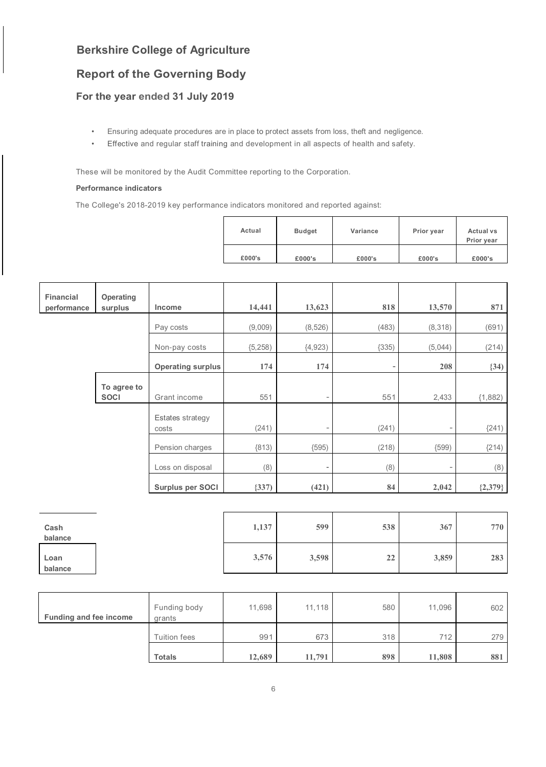## **Report of the Governing Body**

### **For the year ended 31 July 2019**

- Ensuring adequate procedures are in place to protect assets from loss, theft and negligence.
- Effective and regular staff training and development in all aspects of health and safety.

These will be monitored by the Audit Committee reporting to the Corporation.

### **Performance indicators**

The College's 2018-2019 key performance indicators monitored and reported against:

| Actual | <b>Budget</b> | Variance | Prior year | <b>Actual vs</b><br>Prior year |
|--------|---------------|----------|------------|--------------------------------|
| £000's | £000's        | £000's   | £000's     | £000's                         |

| <b>Financial</b><br>performance | Operating<br>surplus       | Income                    | 14,441   | 13,623                   | 818                      | 13,570                   | 871       |
|---------------------------------|----------------------------|---------------------------|----------|--------------------------|--------------------------|--------------------------|-----------|
|                                 |                            | Pay costs                 | (9,009)  | (8, 526)                 | (483)                    | (8,318)                  | (691)     |
|                                 |                            | Non-pay costs             | (5, 258) | (4, 923)                 | (335)                    | (5,044)                  | (214)     |
|                                 |                            | <b>Operating surplus</b>  | 174      | 174                      | $\overline{\phantom{a}}$ | 208                      | (34)      |
|                                 | To agree to<br><b>SOCI</b> | Grant income              | 551      | $\overline{\phantom{a}}$ | 551                      | 2,433                    | (1,882)   |
|                                 |                            | Estates strategy<br>costs | (241)    | $\overline{\phantom{a}}$ | (241)                    | $\overline{\phantom{a}}$ | (241)     |
|                                 |                            | Pension charges           | (813)    | (595)                    | (218)                    | (599)                    | (214)     |
|                                 |                            | Loss on disposal          | (8)      |                          | (8)                      | ۰                        | (8)       |
|                                 |                            | Surplus per SOCI          | (337)    | (421)                    | 84                       | 2,042                    | ${2,379}$ |

| Cash<br>balance | 1,137 | 599   | 538 | 367   | 770 |
|-----------------|-------|-------|-----|-------|-----|
| Loan<br>balance | 3,576 | 3,598 | 22  | 3,859 | 283 |

| Funding and fee income | Funding body<br>grants | 11,698 | 11,118 | 580 | 11,096 | 602 |
|------------------------|------------------------|--------|--------|-----|--------|-----|
|                        | <b>Tuition fees</b>    | 991    | 673    | 318 | 712    | 279 |
|                        | <b>Totals</b>          | 12,689 | 11,791 | 898 | 11,808 | 881 |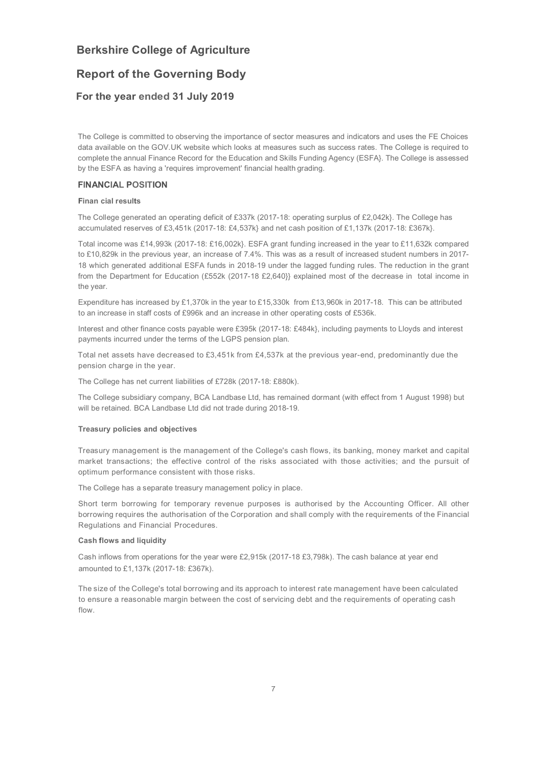### **Report of the Governing Body**

### **For the year ended 31 July 2019**

The College is committed to observing the importance of sector measures and indicators and uses the FE Choices data available on the GOV.UK website which looks at measures such as success rates. The College is required to complete the annual Finance Record for the Education and Skills Funding Agency (ESFA}. The College is assessed by the ESFA as having a 'requires improvement' financial health grading.

### **FINANCIAL POSITION**

#### **Finan cial results**

The College generated an operating deficit of £337k (2017-18: operating surplus of £2,042k}. The College has accumulated reserves of £3,451k (2017-18: £4,537k} and net cash position of £1,137k (2017-18: £367k}.

Total income was £14,993k (2017-18: £16,002k}. ESFA grant funding increased in the year to £11,632k compared to £10,829k in the previous year, an increase of 7.4%. This was as a result of increased student numbers in 2017- 18 which generated additional ESFA funds in 2018-19 under the lagged funding rules. The reduction in the grant from the Department for Education (£552k (2017-18 £2,640}} explained most of the decrease in total income in the year.

Expenditure has increased by £1,370k in the year to £15,330k from £13,960k in 2017-18. This can be attributed to an increase in staff costs of £996k and an increase in other operating costs of £536k.

Interest and other finance costs payable were £395k (2017-18: £484k}, including payments to Lloyds and interest payments incurred under the terms of the LGPS pension plan.

Total net assets have decreased to £3,451k from £4,537k at the previous year-end, predominantly due the pension charge in the year.

The College has net current liabilities of £728k (2017-18: £880k).

The College subsidiary company, BCA Landbase Ltd, has remained dormant (with effect from 1 August 1998) but will be retained. BCA Landbase Ltd did not trade during 2018-19.

#### **Treasury policies and objectives**

Treasury management is the management of the College's cash flows, its banking, money market and capital market transactions; the effective control of the risks associated with those activities; and the pursuit of optimum performance consistent with those risks.

The College has a separate treasury management policy in place.

Short term borrowing for temporary revenue purposes is authorised by the Accounting Officer. All other borrowing requires the authorisation of the Corporation and shall comply with the requirements of the Financial Regulations and Financial Procedures.

#### **Cash flows and liquidity**

Cash inflows from operations for the year were £2,915k (2017-18 £3,798k). The cash balance at year end amounted to £1,137k (2017-18: £367k).

The size of the College's total borrowing and its approach to interest rate management have been calculated to ensure a reasonable margin between the cost of servicing debt and the requirements of operating cash flow.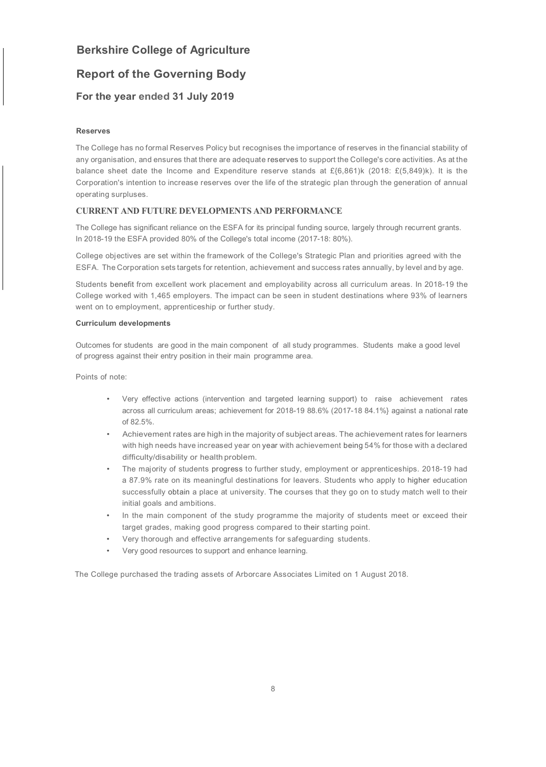### **Report of the Governing Body**

### **For the year ended 31 July 2019**

### **Reserves**

The College has no formal Reserves Policy but recognises the importance of reserves in the financial stability of any organisation, and ensures that there are adequate reserves to support the College's core activities. As at the balance sheet date the Income and Expenditure reserve stands at  $E\{6,861\}$ k (2018:  $E(5,849)$ k). It is the Corporation's intention to increase reserves over the life of the strategic plan through the generation of annual operating surpluses.

### **CURRENT AND FUTURE DEVELOPMENTS AND PERFORMANCE**

The College has significant reliance on the ESFA for its principal funding source, largely through recurrent grants. In 2018-19 the ESFA provided 80% of the College's total income (2017-18: 80%).

College objectives are set within the framework of the College's Strategic Plan and priorities agreed with the ESFA. The Corporation sets targets for retention, achievement and success rates annually, by level and by age.

Students benefit from excellent work placement and employability across all curriculum areas. In 2018-19 the College worked with 1,465 employers. The impact can be seen in student destinations where 93% of learners went on to employment, apprenticeship or further study.

### **Curriculum developments**

Outcomes for students are good in the main component of all study programmes. Students make a good level of progress against their entry position in their main programme area.

Points of note:

- Very effective actions (intervention and targeted learning support) to raise achievement rates across all curriculum areas; achievement for 2018-19 88.6% (2017-18 84.1%} against a national rate of 82.5%.
- Achievement rates are high in the majority of subject areas. The achievement rates for learners with high needs have increased year on year with achievement being 54% for those with a declared difficulty/disability or health problem.
- The majority of students progress to further study, employment or apprenticeships. 2018-19 had a 87.9% rate on its meaningful destinations for leavers. Students who apply to higher education successfully obtain a place at university. The courses that they go on to study match well to their initial goals and ambitions.
- In the main component of the study programme the majority of students meet or exceed their target grades, making good progress compared to their starting point.
- Very thorough and effective arrangements for safeguarding students.
- Very good resources to support and enhance learning.

The College purchased the trading assets of Arborcare Associates Limited on 1 August 2018.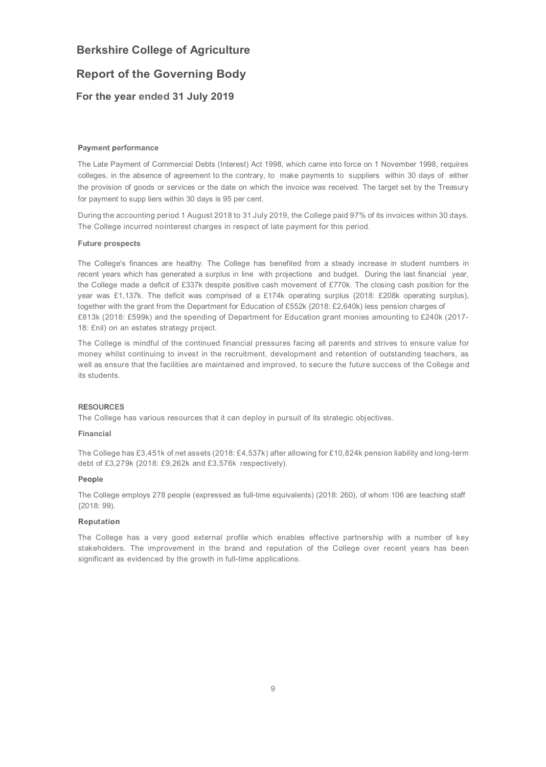### **Report of the Governing Body**

### **For the year ended 31 July 2019**

#### **Payment performance**

The Late Payment of Commercial Debts (Interest) Act 1998, which came into force on 1 November 1998, requires colleges, in the absence of agreement to the contrary, to make payments to suppliers within 30 days of either the provision of goods or services or the date on which the invoice was received. The target set by the Treasury for payment to supp liers within 30 days is 95 per cent.

During the accounting period 1 August 2018 to 31 July 2019, the College paid 97% of its invoices within 30 days. The College incurred nointerest charges in respect of late payment for this period.

#### **Future prospects**

The College's finances are healthy. The College has benefited from a steady increase in student numbers in recent years which has generated a surplus in line with projections and budget. During the last financial year, the College made a deficit of £337k despite positive cash movement of £770k. The closing cash position for the year was £1,137k. The deficit was comprised of a £174k operating surplus {2018: £208k operating surplus), together with the grant from the Department for Education of £552k {2018: £2,640k) less pension charges of £813k (2018: £599k) and the spending of Department for Education grant monies amounting to £240k (2017- 18: £nil) on an estates strategy project.

The College is mindful of the continued financial pressures facing all parents and strives to ensure value for money whilst continuing to invest in the recruitment, development and retention of outstanding teachers, as well as ensure that the facilities are maintained and improved, to secure the future success of the College and its students.

#### **RESOURCES**

The College has various resources that it can deploy in pursuit of its strategic objectives.

#### **Financial**

The College has £3,451k of net assets (2018: £4,537k) after allowing for £10,824k pension liability and long-term debt of £3,279k {2018: £9,262k and £3,576k respectively).

#### **People**

The College employs 278 people (expressed as full-time equivalents) (2018: 260), of whom 106 are teaching staff {2018: 99).

#### **Reputation**

The College has a very good external profile which enables effective partnership with a number of key stakeholders. The improvement in the brand and reputation of the College over recent years has been significant as evidenced by the growth in full-time applications.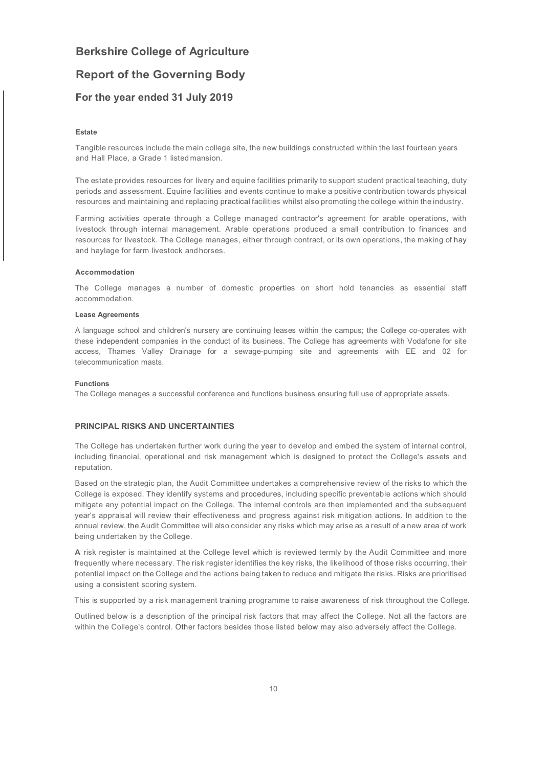### **Report of the Governing Body**

### **For the year ended 31 July 2019**

#### **Estate**

Tangible resources include the main college site, the new buildings constructed within the last fourteen years and Hall Place, a Grade 1 listed mansion.

The estate provides resources for livery and equine facilities primarily to support student practical teaching, duty periods and assessment. Equine facilities and events continue to make a positive contribution towards physical resources and maintaining and replacing practical facilities whilst also promoting the college within the industry.

Farming activities operate through a College managed contractor's agreement for arable operations, with livestock through internal management. Arable operations produced a small contribution to finances and resources for livestock. The College manages, either through contract, or its own operations, the making of hay and haylage for farm livestock andhorses.

#### **Accommodation**

The College manages a number of domestic properties on short hold tenancies as essential staff accommodation.

#### **Lease Agreements**

A language school and children's nursery are continuing leases within the campus; the College co-operates with these independent companies in the conduct of its business. The College has agreements with Vodafone for site access, Thames Valley Drainage for a sewage-pumping site and agreements with EE and 02 for telecommunication masts.

#### **Functions**

The College manages a successful conference and functions business ensuring full use of appropriate assets.

### **PRINCIPAL RISKS AND UNCERTAINTIES**

The College has undertaken further work during the year to develop and embed the system of internal control, including financial, operational and risk management which is designed to protect the College's assets and reputation.

Based on the strategic plan, the Audit Committee undertakes a comprehensive review of the risks to which the College is exposed. They identify systems and procedures, including specific preventable actions which should mitigate any potential impact on the College. The internal controls are then implemented and the subsequent year's appraisal will review their effectiveness and progress against risk mitigation actions. In addition to the annual review, the Audit Committee will also consider any risks which may arise as a result of a new area of work being undertaken by the College.

**A** risk register is maintained at the College level which is reviewed termly by the Audit Committee and more frequently where necessary. The risk register identifies the key risks, the likelihood of those risks occurring, their potential impact on the College and the actions being taken to reduce and mitigate the risks. Risks are prioritised using a consistent scoring system.

This is supported by a risk management training programme to raise awareness of risk throughout the College.

Outlined below is a description of the principal risk factors that may affect the College. Not all the factors are within the College's control. Other factors besides those listed below may also adversely affect the College.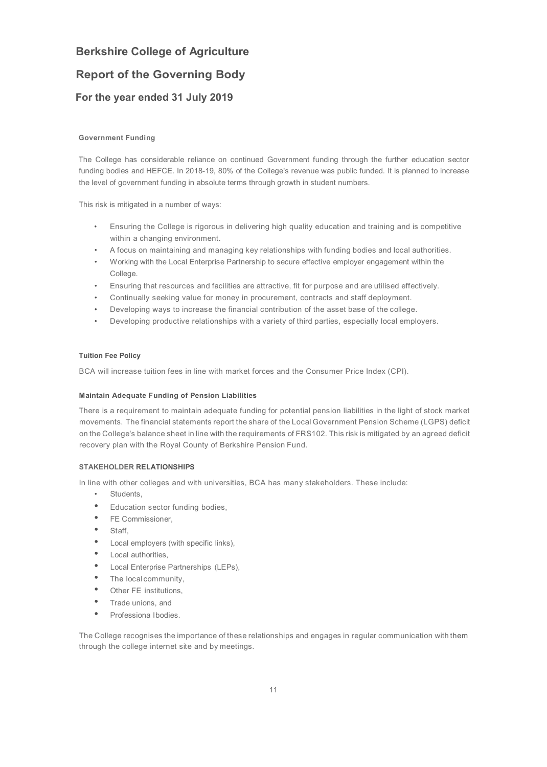### **Report of the Governing Body**

### **For the year ended 31 July 2019**

### **Government Funding**

The College has considerable reliance on continued Government funding through the further education sector funding bodies and HEFCE. In 2018-19, 80% of the College's revenue was public funded. It is planned to increase the level of government funding in absolute terms through growth in student numbers.

This risk is mitigated in a number of ways:

- Ensuring the College is rigorous in delivering high quality education and training and is competitive within a changing environment.
- A focus on maintaining and managing key relationships with funding bodies and local authorities.
- Working with the Local Enterprise Partnership to secure effective employer engagement within the College.
- Ensuring that resources and facilities are attractive, fit for purpose and are utilised effectively.
- Continually seeking value for money in procurement, contracts and staff deployment.
- Developing ways to increase the financial contribution of the asset base of the college.
- Developing productive relationships with a variety of third parties, especially local employers.

#### **Tuition Fee Policy**

BCA will increase tuition fees in line with market forces and the Consumer Price Index (CPI).

#### **Maintain Adequate Funding of Pension Liabilities**

There is a requirement to maintain adequate funding for potential pension liabilities in the light of stock market movements. The financial statements report the share of the Local Government Pension Scheme (LGPS) deficit on the College's balance sheet in line with the requirements of FRS102. This risk is mitigated by an agreed deficit recovery plan with the Royal County of Berkshire Pension Fund.

### **STAKEHOLDER RELATIONSHIPS**

In line with other colleges and with universities, BCA has many stakeholders. These include:

- Students,
- Education sector funding bodies,
- FE Commissioner,
- Staff,
- Local employers (with specific links),
- Local authorities,
- Local Enterprise Partnerships (LEPs),
- The local community,
- Other FE institutions,
- Trade unions, and
- Professiona Ibodies.

The College recognises the importance of these relationships and engages in regular communication with them through the college internet site and by meetings.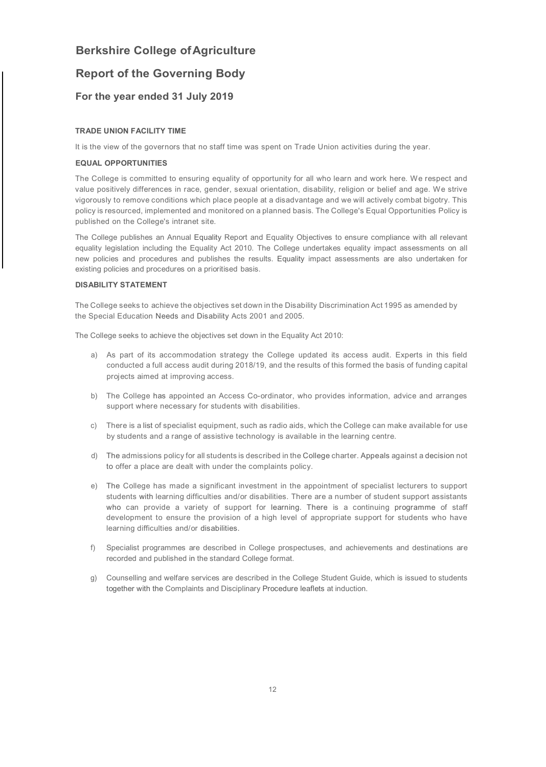### **Report of the Governing Body**

### **For the year ended 31 July 2019**

#### **TRADE UNION FACILITY TIME**

It is the view of the governors that no staff time was spent on Trade Union activities during the year.

#### **EQUAL OPPORTUNITIES**

The College is committed to ensuring equality of opportunity for all who learn and work here. We respect and value positively differences in race, gender, sexual orientation, disability, religion or belief and age. We strive vigorously to remove conditions which place people at a disadvantage and we will actively combat bigotry. This policy is resourced, implemented and monitored on a planned basis. The College's Equal Opportunities Policy is published on the College's intranet site.

The College publishes an Annual Equality Report and Equality Objectives to ensure compliance with all relevant equality legislation including the Equality Act 2010. The College undertakes equality impact assessments on all new policies and procedures and publishes the results. Equality impact assessments are also undertaken for existing policies and procedures on a prioritised basis.

### **DISABILITY STATEMENT**

The College seeks to achieve the objectives set down in the Disability Discrimination Act 1995 as amended by the Special Education Needs and Disability Acts 2001 and 2005.

The College seeks to achieve the objectives set down in the Equality Act 2010:

- a) As part of its accommodation strategy the College updated its access audit. Experts in this field conducted a full access audit during 2018/19, and the results of this formed the basis of funding capital projects aimed at improving access.
- b) The College has appointed an Access Co-ordinator, who provides information, advice and arranges support where necessary for students with disabilities.
- c) There is a list of specialist equipment, such as radio aids, which the College can make available for use by students and a range of assistive technology is available in the learning centre.
- d) The admissions policy for all students is described in the College charter. Appeals against a decision not to offer a place are dealt with under the complaints policy.
- e) The College has made a significant investment in the appointment of specialist lecturers to support students with learning difficulties and/or disabilities. There are a number of student support assistants who can provide a variety of support for learning. There is a continuing programme of staff development to ensure the provision of a high level of appropriate support for students who have learning difficulties and/or disabilities.
- f) Specialist programmes are described in College prospectuses, and achievements and destinations are recorded and published in the standard College format.
- g) Counselling and welfare services are described in the College Student Guide, which is issued to students together with the Complaints and Disciplinary Procedure leaflets at induction.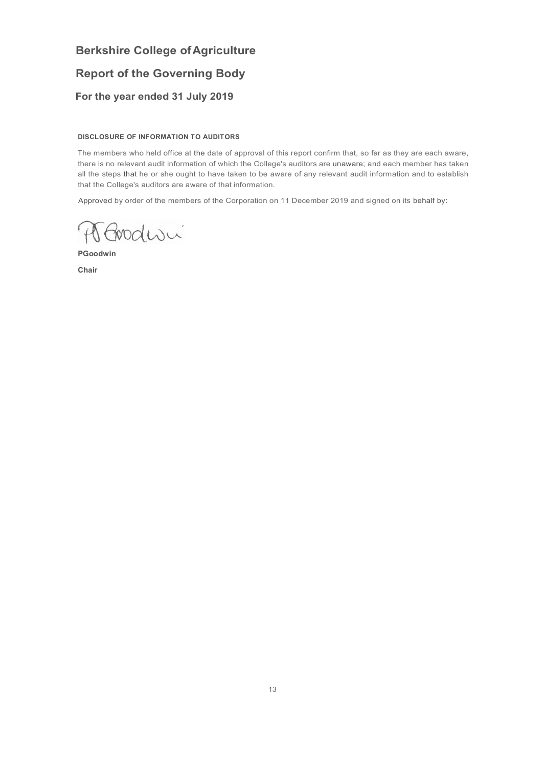## **Report of the Governing Body**

### **For the year ended 31 July 2019**

### **DISCLOSURE OF INFORMATION TO AUDITORS**

The members who held office at the date of approval of this report confirm that, so far as they are each aware, there is no relevant audit information of which the College's auditors are unaware; and each member has taken all the steps that he or she ought to have taken to be aware of any relevant audit information and to establish that the College's auditors are aware of that information.

Approved by order of the members of the Corporation on 11 December 2019 and signed on its behalf by:

A Goodwi

**PGoodwin** 

**Chair**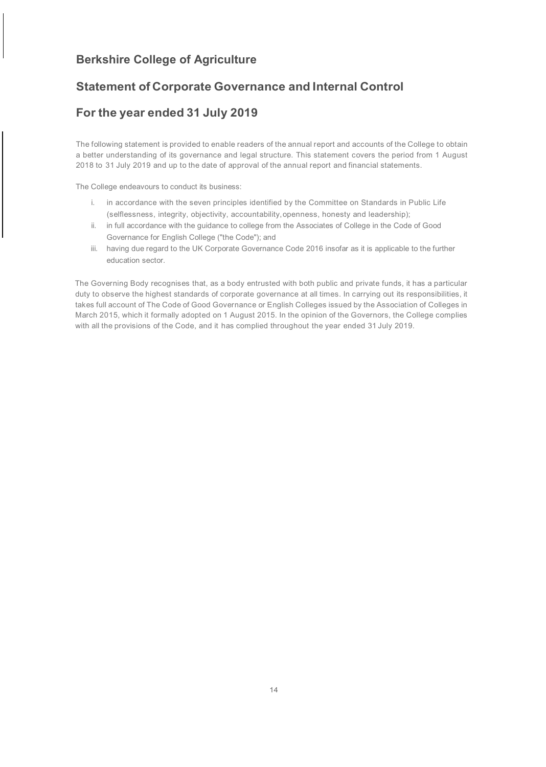### **Statement of Corporate Governance and Internal Control**

### **For the year ended 31 July 2019**

The following statement is provided to enable readers of the annual report and accounts of the College to obtain a better understanding of its governance and legal structure. This statement covers the period from 1 August 2018 to 31 July 2019 and up to the date of approval of the annual report and financial statements.

The College endeavours to conduct its business:

- i. in accordance with the seven principles identified by the Committee on Standards in Public Life (selflessness, integrity, objectivity, accountability,openness, honesty and leadership);
- ii. in full accordance with the guidance to college from the Associates of College in the Code of Good Governance for English College ("the Code"); and
- iii. having due regard to the UK Corporate Governance Code 2016 insofar as it is applicable to the further education sector.

The Governing Body recognises that, as a body entrusted with both public and private funds, it has a particular duty to observe the highest standards of corporate governance at all times. In carrying out its responsibilities, it takes full account of The Code of Good Governance or English Colleges issued by the Association of Colleges in March 2015, which it formally adopted on 1 August 2015. In the opinion of the Governors, the College complies with all the provisions of the Code, and it has complied throughout the year ended 31 July 2019.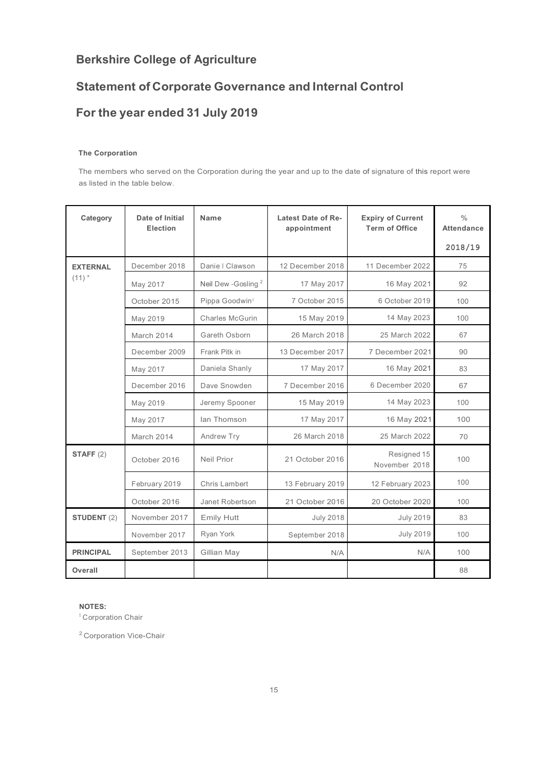## **Statement of Corporate Governance and Internal Control**

## **For the year ended 31 July 2019**

### **The Corporation**

The members who served on the Corporation during the year and up to the date of signature of this report were as listed in the table below.

| Category           | Date of Initial<br>Election | <b>Name</b>                    | Latest Date of Re-<br>appointment | <b>Expiry of Current</b><br><b>Term of Office</b> | $\frac{0}{0}$<br><b>Attendance</b> |
|--------------------|-----------------------------|--------------------------------|-----------------------------------|---------------------------------------------------|------------------------------------|
|                    |                             |                                |                                   |                                                   | 2018/19                            |
| <b>EXTERNAL</b>    | December 2018               | Danie   Clawson                | 12 December 2018                  | 11 December 2022                                  | 75                                 |
| $(11)$ *           | May 2017                    | Neil Dew -Gosling <sup>2</sup> | 17 May 2017                       | 16 May 2021                                       | 92                                 |
|                    | October 2015                | Pippa Goodwin <sup>1</sup>     | 7 October 2015                    | 6 October 2019                                    | 100                                |
|                    | May 2019                    | Charles McGurin                | 15 May 2019                       | 14 May 2023                                       | 100                                |
|                    | March 2014                  | Gareth Osborn                  | 26 March 2018                     | 25 March 2022                                     | 67                                 |
|                    | December 2009               | Frank Pitk in                  | 13 December 2017                  | 7 December 2021                                   | 90                                 |
|                    | May 2017                    | Daniela Shanly                 | 17 May 2017                       | 16 May 2021                                       | 83                                 |
|                    | December 2016               | Dave Snowden                   | 7 December 2016                   | 6 December 2020                                   | 67                                 |
|                    | May 2019                    | Jeremy Spooner                 | 15 May 2019                       | 14 May 2023                                       | 100                                |
|                    | May 2017                    | lan Thomson                    | 17 May 2017                       | 16 May 2021                                       | 100                                |
|                    | March 2014                  | Andrew Try                     | 26 March 2018                     | 25 March 2022                                     | 70                                 |
| STAFF $(2)$        | October 2016                | Neil Prior                     | 21 October 2016                   | Resigned 15<br>November 2018                      | 100                                |
|                    | February 2019               | Chris Lambert                  | 13 February 2019                  | 12 February 2023                                  | 100                                |
|                    | October 2016                | Janet Robertson                | 21 October 2016                   | 20 October 2020                                   | 100                                |
| <b>STUDENT (2)</b> | November 2017               | <b>Emily Hutt</b>              | <b>July 2018</b>                  | <b>July 2019</b>                                  | 83                                 |
|                    | November 2017               | Ryan York                      | September 2018                    | <b>July 2019</b>                                  | 100                                |
| <b>PRINCIPAL</b>   | September 2013              | Gillian May                    | N/A                               | N/A                                               | 100                                |
| Overall            |                             |                                |                                   |                                                   | 88                                 |

### **NOTES:**

<sup>1</sup> Corporation Chair

<sup>2</sup> Corporation Vice-Chair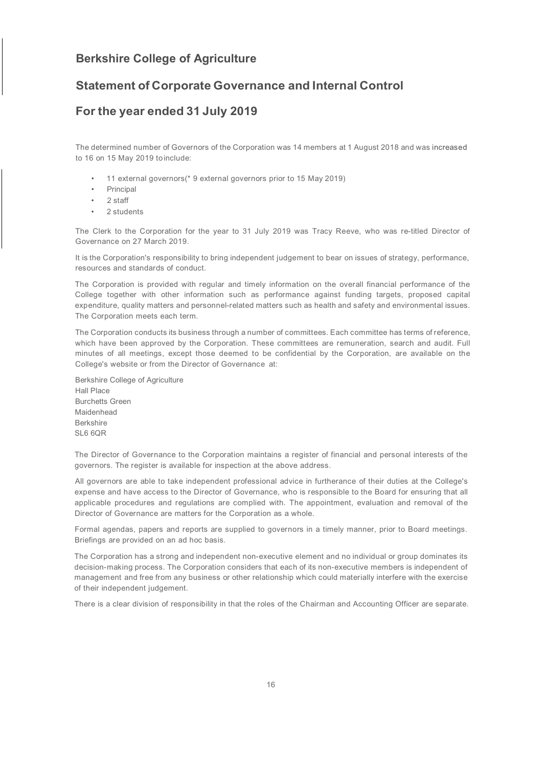### **Statement of Corporate Governance and Internal Control**

### **For the year ended 31 July 2019**

The determined number of Governors of the Corporation was 14 members at 1 August 2018 and was increased to 16 on 15 May 2019 toinclude:

- 11 external governors(\* 9 external governors prior to 15 May 2019)
- **Principal**
- 2 staff
- 2 students

The Clerk to the Corporation for the year to 31 July 2019 was Tracy Reeve, who was re-titled Director of Governance on 27 March 2019.

It is the Corporation's responsibility to bring independent judgement to bear on issues of strategy, performance, resources and standards of conduct.

The Corporation is provided with regular and timely information on the overall financial performance of the College together with other information such as performance against funding targets, proposed capital expenditure, quality matters and personnel-related matters such as health and safety and environmental issues. The Corporation meets each term.

The Corporation conducts its business through a number of committees. Each committee has terms of reference, which have been approved by the Corporation. These committees are remuneration, search and audit. Full minutes of all meetings, except those deemed to be confidential by the Corporation, are available on the College's website or from the Director of Governance at:

Berkshire College of Agriculture Hall Place Burchetts Green Maidenhead Berkshire SL6 6QR

The Director of Governance to the Corporation maintains a register of financial and personal interests of the governors. The register is available for inspection at the above address.

All governors are able to take independent professional advice in furtherance of their duties at the College's expense and have access to the Director of Governance, who is responsible to the Board for ensuring that all applicable procedures and regulations are complied with. The appointment, evaluation and removal of the Director of Governance are matters for the Corporation as a whole.

Formal agendas, papers and reports are supplied to governors in a timely manner, prior to Board meetings. Briefings are provided on an ad hoc basis.

The Corporation has a strong and independent non-executive element and no individual or group dominates its decision-making process. The Corporation considers that each of its non-executive members is independent of management and free from any business or other relationship which could materially interfere with the exercise of their independent judgement.

There is a clear division of responsibility in that the roles of the Chairman and Accounting Officer are separate.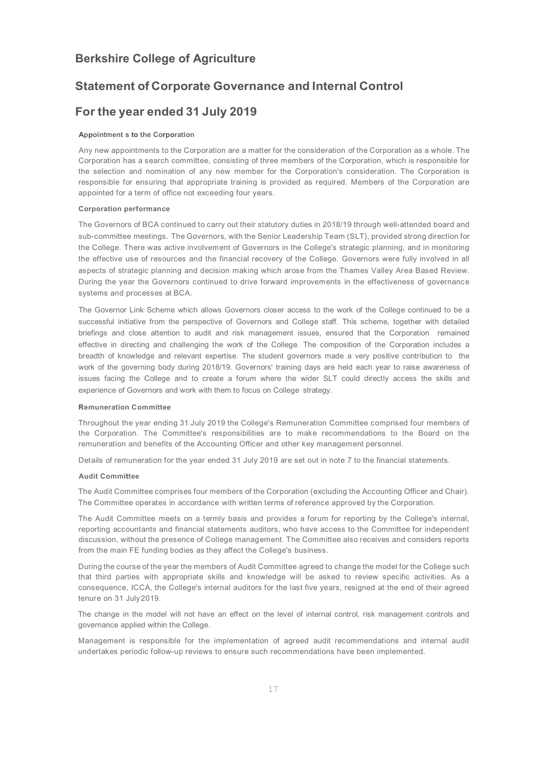### **Statement of Corporate Governance and Internal Control**

### **For the year ended 31 July 2019**

#### **Appointment s to the Corporation**

Any new appointments to the Corporation are a matter for the consideration of the Corporation as a whole. The Corporation has a search committee, consisting of three members of the Corporation, which is responsible for the selection and nomination of any new member for the Corporation's consideration. The Corporation is responsible for ensuring that appropriate training is provided as required. Members of the Corporation are appointed for a term of office not exceeding four years.

#### **Corporation performance**

The Governors of BCA continued to carry out their statutory duties in 2018/19 through well-attended board and sub-committee meetings. The Governors, with the Senior Leadership Team (SLT), provided strong direction for the College. There was active involvement of Governors in the College's strategic planning, and in monitoring the effective use of resources and the financial recovery of the College. Governors were fully involved in all aspects of strategic planning and decision making which arose from the Thames Valley Area Based Review. During the year the Governors continued to drive forward improvements in the effectiveness of governance systems and processes at BCA.

The Governor Link Scheme which allows Governors closer access to the work of the College continued to be a successful initiative from the perspective of Governors and College staff. This scheme, together with detailed briefings and close attention to audit and risk management issues, ensured that the Corporation remained effective in directing and challenging the work of the College. The composition of the Corporation includes a breadth of knowledge and relevant expertise. The student governors made a very positive contribution to the work of the governing body during 2018/19. Governors' training days are held each year to raise awareness of issues facing the College and to create a forum where the wider SLT could directly access the skills and experience of Governors and work with them to focus on College strategy.

#### **Remuneration Committee**

Throughout the year ending 31 July 2019 the College's Remuneration Committee comprised four members of the Corporation. The Committee's responsibilities are to make recommendations to the Board on the remuneration and benefits of the Accounting Officer and other key management personnel.

Details of remuneration for the year ended 31 July 2019 are set out in note 7 to the financial statements.

### **Audit Committee**

The Audit Committee comprises four members of the Corporation (excluding the Accounting Officer and Chair). The Committee operates in accordance with written terms of reference approved by the Corporation.

The Audit Committee meets on a termly basis and provides a forum for reporting by the College's internal, reporting accountants and financial statements auditors, who have access to the Committee for independent discussion, without the presence of College management. The Committee also receives and considers reports from the main FE funding bodies as they affect the College's business.

During the course of the year the members of Audit Committee agreed to change the model for the College such that third parties with appropriate skills and knowledge will be asked to review specific activities. As a consequence, ICCA, the College's internal auditors for the last five years, resigned at the end of their agreed tenure on 31 July2019.

The change in the model will not have an effect on the level of internal control, risk management controls and governance applied within the College.

Management is responsible for the implementation of agreed audit recommendations and internal audit undertakes periodic follow-up reviews to ensure such recommendations have been implemented.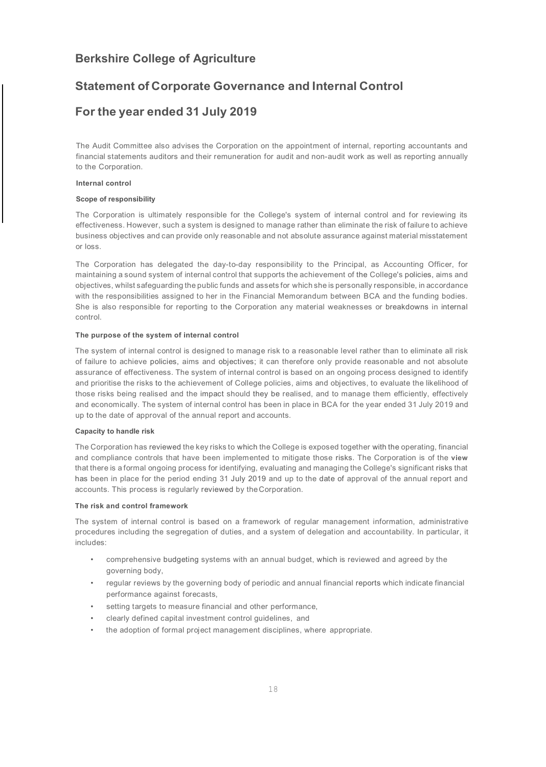### **Statement of Corporate Governance and Internal Control**

### **For the year ended 31 July 2019**

The Audit Committee also advises the Corporation on the appointment of internal, reporting accountants and financial statements auditors and their remuneration for audit and non-audit work as well as reporting annually to the Corporation.

#### **Internal control**

#### **Scope of responsibility**

The Corporation is ultimately responsible for the College's system of internal control and for reviewing its effectiveness. However, such a system is designed to manage rather than eliminate the risk of failure to achieve business objectives and can provide only reasonable and not absolute assurance against material misstatement or loss.

The Corporation has delegated the day-to-day responsibility to the Principal, as Accounting Officer, for maintaining a sound system of internal control that supports the achievement of the College's policies, aims and objectives, whilst safeguarding the public funds and assets for which she is personally responsible, in accordance with the responsibilities assigned to her in the Financial Memorandum between BCA and the funding bodies. She is also responsible for reporting to the Corporation any material weaknesses or breakdowns in internal control.

#### **The purpose of the system of internal control**

The system of internal control is designed to manage risk to a reasonable level rather than to eliminate all risk of failure to achieve policies, aims and objectives; it can therefore only provide reasonable and not absolute assurance of effectiveness. The system of internal control is based on an ongoing process designed to identify and prioritise the risks to the achievement of College policies, aims and objectives, to evaluate the likelihood of those risks being realised and the impact should they be realised, and to manage them efficiently, effectively and economically. The system of internal control has been in place in BCA for the year ended 31 July 2019 and up to the date of approval of the annual report and accounts.

#### **Capacity to handle risk**

The Corporation has reviewed the key risks to which the College is exposed together with the operating, financial and compliance controls that have been implemented to mitigate those risks. The Corporation is of the **view**  that there is a formal ongoing process for identifying, evaluating and managing the College's significant risks that has been in place for the period ending 31 July 2019 and up to the date of approval of the annual report and accounts. This process is regularly reviewed by theCorporation.

#### **The risk and control framework**

The system of internal control is based on a framework of regular management information, administrative procedures including the segregation of duties, and a system of delegation and accountability. In particular, it includes:

- comprehensive budgeting systems with an annual budget, which is reviewed and agreed by the governing body,
- regular reviews by the governing body of periodic and annual financial reports which indicate financial performance against forecasts,
- setting targets to measure financial and other performance,
- clearly defined capital investment control guidelines, and
- the adoption of formal project management disciplines, where appropriate.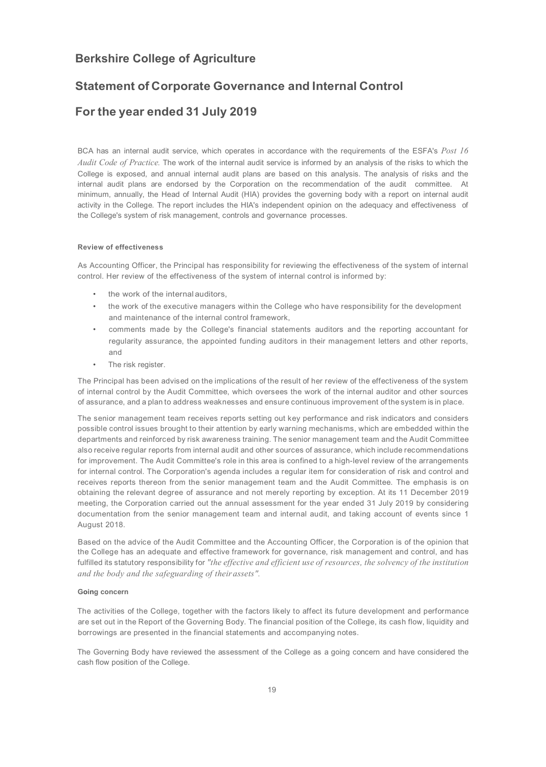### **Statement of Corporate Governance and Internal Control**

### **For the year ended 31 July 2019**

BCA has an internal audit service, which operates in accordance with the requirements of the ESFA's *Post 16 Audit Code of Practice.* The work of the internal audit service is informed by an analysis of the risks to which the College is exposed, and annual internal audit plans are based on this analysis. The analysis of risks and the internal audit plans are endorsed by the Corporation on the recommendation of the audit committee. At minimum, annually, the Head of Internal Audit (HIA) provides the governing body with a report on internal audit activity in the College. The report includes the HIA's independent opinion on the adequacy and effectiveness of the College's system of risk management, controls and governance processes.

### **Review of effectiveness**

As Accounting Officer, the Principal has responsibility for reviewing the effectiveness of the system of internal control. Her review of the effectiveness of the system of internal control is informed by:

- the work of the internal auditors,
- the work of the executive managers within the College who have responsibility for the development and maintenance of the internal control framework,
- comments made by the College's financial statements auditors and the reporting accountant for regularity assurance, the appointed funding auditors in their management letters and other reports, and
- The risk register.

The Principal has been advised on the implications of the result of her review of the effectiveness of the system of internal control by the Audit Committee, which oversees the work of the internal auditor and other sources of assurance, and a plan to address weaknesses and ensure continuous improvement of the system is in place.

The senior management team receives reports setting out key performance and risk indicators and considers possible control issues brought to their attention by early warning mechanisms, which are embedded within the departments and reinforced by risk awareness training. The senior management team and the Audit Committee also receive regular reports from internal audit and other sources of assurance, which include recommendations for improvement. The Audit Committee's role in this area is confined to a high-level review of the arrangements for internal control. The Corporation's agenda includes a regular item for consideration of risk and control and receives reports thereon from the senior management team and the Audit Committee. The emphasis is on obtaining the relevant degree of assurance and not merely reporting by exception. At its 11 December 2019 meeting, the Corporation carried out the annual assessment for the year ended 31 July 2019 by considering documentation from the senior management team and internal audit, and taking account of events since 1 August 2018.

Based on the advice of the Audit Committee and the Accounting Officer, the Corporation is of the opinion that the College has an adequate and effective framework for governance, risk management and control, and has fulfilled its statutory responsibility for *"the effective and efficient use of resources, the solvency of the institution and the body and the safeguarding of their assets".*

#### **Going concern**

The activities of the College, together with the factors likely to affect its future development and performance are set out in the Report of the Governing Body. The financial position of the College, its cash flow, liquidity and borrowings are presented in the financial statements and accompanying notes.

The Governing Body have reviewed the assessment of the College as a going concern and have considered the cash flow position of the College.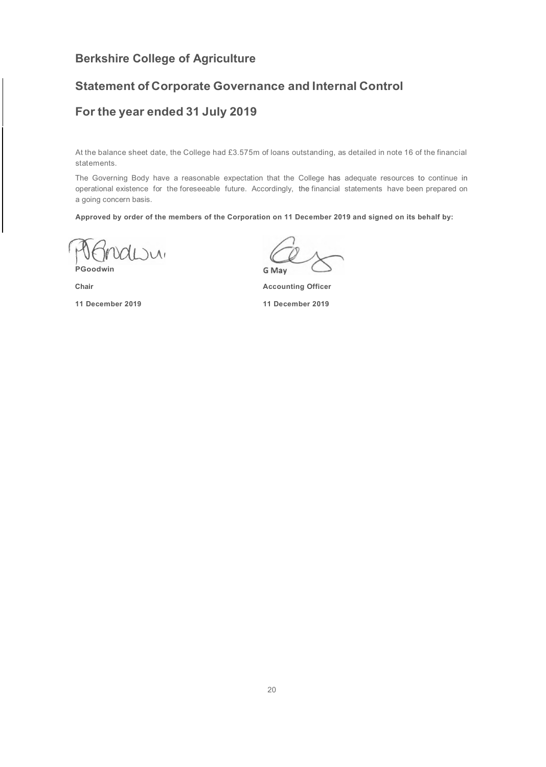### **Statement of Corporate Governance and Internal Control**

### **For the year ended 31 July 2019**

At the balance sheet date, the College had £3.575m of loans outstanding, as detailed in note 16 of the financial statements.

The Governing Body have a reasonable expectation that the College has adequate resources to continue in operational existence for the foreseeable future. Accordingly, the financial statements have been prepared on a going concern basis.

**Approved by order of the members of the Corporation on 11 December 2019 and signed on its behalf by:**

 $\overline{\mathcal{M}}$ **PGoodwin**

**Chair**

**11 December 2019**

G May

**Accounting Officer** 

**11 December 2019**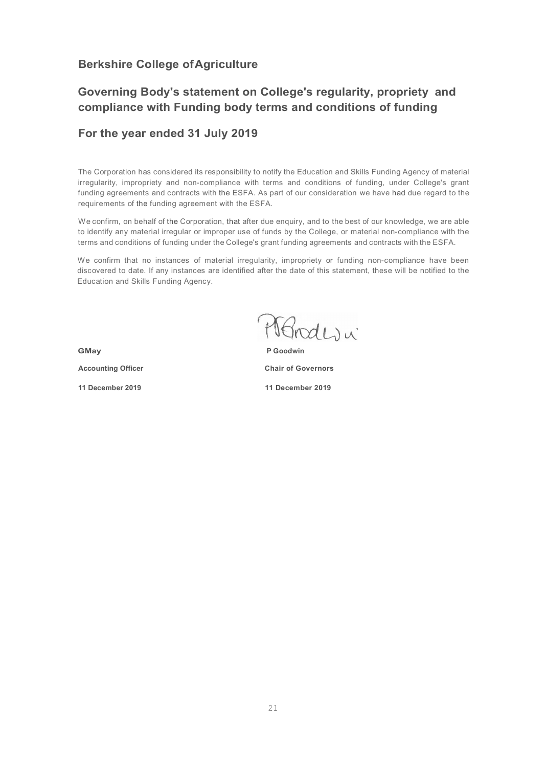## **Governing Body's statement on College's regularity, propriety and compliance with Funding body terms and conditions of funding**

### **For the year ended 31 July 2019**

The Corporation has considered its responsibility to notify the Education and Skills Funding Agency of material irregularity, impropriety and non-compliance with terms and conditions of funding, under College's grant funding agreements and contracts with the ESFA. As part of our consideration we have had due regard to the requirements of the funding agreement with the ESFA.

We confirm, on behalf of the Corporation, that after due enquiry, and to the best of our knowledge, we are able to identify any material irregular or improper use of funds by the College, or material non-compliance with the terms and conditions of funding under the College's grant funding agreements and contracts with the ESFA.

We confirm that no instances of material irregularity, impropriety or funding non-compliance have been discovered to date. If any instances are identified after the date of this statement, these will be notified to the Education and Skills Funding Agency.

Mondevi

**GMay**

**Accounting Officer** 

**11 December 2019**

**P Goodwin Chair of Governors 11 December 2019**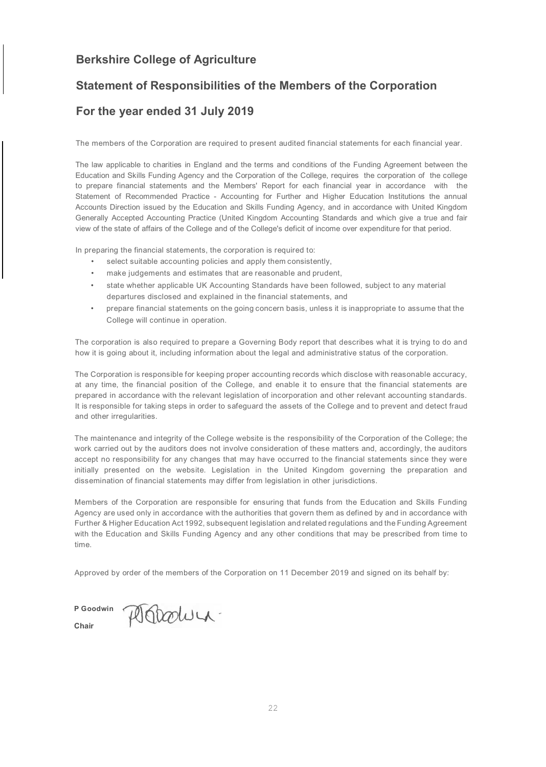### **Statement of Responsibilities of the Members of the Corporation**

### **For the year ended 31 July 2019**

The members of the Corporation are required to present audited financial statements for each financial year.

The law applicable to charities in England and the terms and conditions of the Funding Agreement between the Education and Skills Funding Agency and the Corporation of the College, requires the corporation of the college to prepare financial statements and the Members' Report for each financial year in accordance with the Statement of Recommended Practice - Accounting for Further and Higher Education Institutions the annual Accounts Direction issued by the Education and Skills Funding Agency, and in accordance with United Kingdom Generally Accepted Accounting Practice (United Kingdom Accounting Standards and which give a true and fair view of the state of affairs of the College and of the College's deficit of income over expenditure for that period.

In preparing the financial statements, the corporation is required to:

- select suitable accounting policies and apply them consistently,
- make judgements and estimates that are reasonable and prudent,
- state whether applicable UK Accounting Standards have been followed, subject to any material departures disclosed and explained in the financial statements, and
- prepare financial statements on the going concern basis, unless it is inappropriate to assume that the College will continue in operation.

The corporation is also required to prepare a Governing Body report that describes what it is trying to do and how it is going about it, including information about the legal and administrative status of the corporation.

The Corporation is responsible for keeping proper accounting records which disclose with reasonable accuracy, at any time, the financial position of the College, and enable it to ensure that the financial statements are prepared in accordance with the relevant legislation of incorporation and other relevant accounting standards. It is responsible for taking steps in order to safeguard the assets of the College and to prevent and detect fraud and other irregularities.

The maintenance and integrity of the College website is the responsibility of the Corporation of the College; the work carried out by the auditors does not involve consideration of these matters and, accordingly, the auditors accept no responsibility for any changes that may have occurred to the financial statements since they were initially presented on the website. Legislation in the United Kingdom governing the preparation and dissemination of financial statements may differ from legislation in other jurisdictions.

Members of the Corporation are responsible for ensuring that funds from the Education and Skills Funding Agency are used only in accordance with the authorities that govern them as defined by and in accordance with Further & Higher Education Act 1992, subsequent legislation and related regulations and the Funding Agreement with the Education and Skills Funding Agency and any other conditions that may be prescribed from time to time.

Approved by order of the members of the Corporation on 11 December 2019 and signed on its behalf by:

**P Goodwin** Ostrolum. **Chair**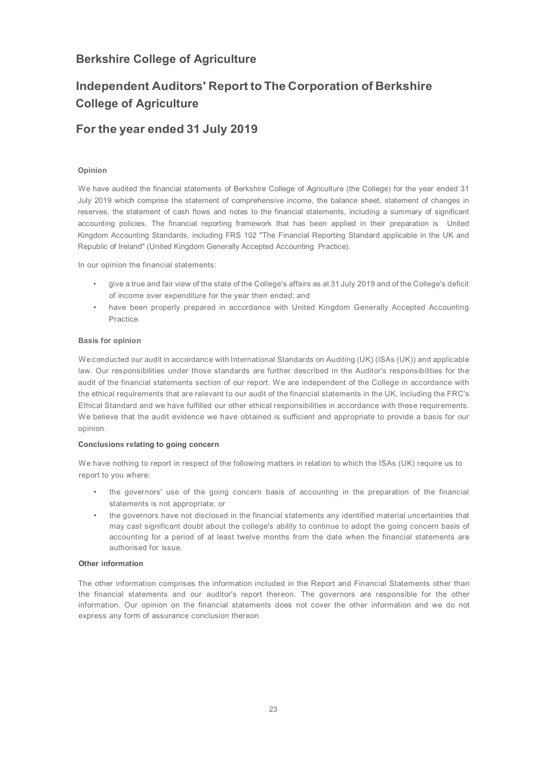## **Independent Auditors' Report to The Corporation of Berkshire College of Agriculture**

### **For the year ended 31 July 2019**

### **Opinion**

We have audited the financial statements of Berkshire College of Agriculture (the College) for the year ended 31 July 2019 which comprise the statement of comprehensive income, the balance sheet, statement of changes in reserves, the statement of cash flows and notes to the financial statements, including a summary of significant accounting policies. The financial reporting framework that has been applied in their preparation is United Kingdom Accounting Standards, including FRS 102 "The Financial Reporting Standard applicable in the UK and Republic of Ireland" (United Kingdom Generally Accepted Accounting Practice).

In our opinion the financial statements:

- give a true and fair view of the state of the College's affairs as at 31 July 2019 and of the College's deficit of income over expenditure for the year then ended; and
- have been properly prepared in accordance with United Kingdom Generally Accepted Accounting Practice.

### **Basis for opinion**

We conducted our audit in accordance with International Standards on Auditing (UK) (ISAs (UK)) and applicable law. Our responsibilities under those standards are further described in the Auditor's responsibilities for the audit of the financial statements section of our report. We are independent of the College in accordance with the ethical requirements that are relevant to our audit of the financial statements in the UK, including the FRC's Ethical Standard and we have fulfilled our other ethical responsibilities in accordance with these requirements. We believe that the audit evidence we have obtained is sufficient and appropriate to provide a basis for our opinion.

### **Conclusions relating to going concern**

We have nothing to report in respect of the following matters in relation to which the ISAs (UK) require us to report to you where:

- the governors' use of the going concern basis of accounting in the preparation of the financial statements is not appropriate; or
- the governors have not disclosed in the financial statements any identified material uncertainties that may cast significant doubt about the college's ability to continue to adopt the going concern basis of accounting for a period of at least twelve months from the date when the financial statements are authorised for issue.

### **Other information**

The other information comprises the information included in the Report and Financial Statements other than the financial statements and our auditor's report thereon. The governors are responsible for the other information. Our opinion on the financial statements does not cover the other information and we do not express any form of assurance conclusion thereon.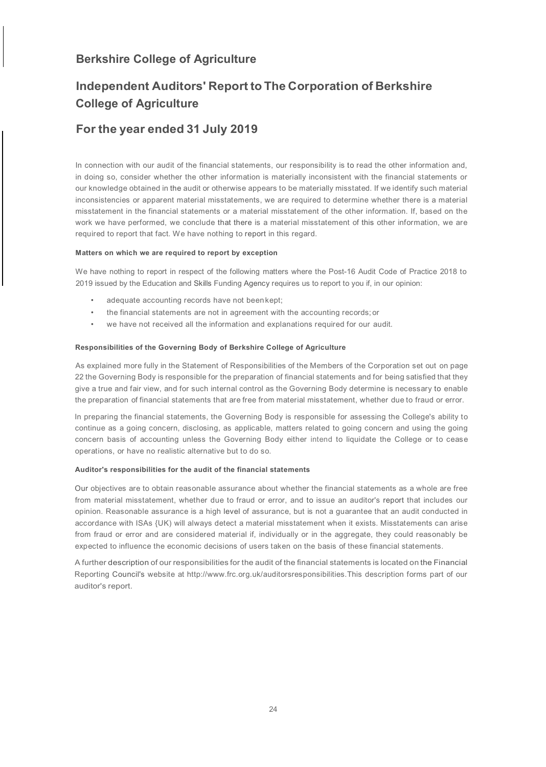## **Independent Auditors' Report to The Corporation of Berkshire College of Agriculture**

### **For the year ended 31 July 2019**

In connection with our audit of the financial statements, our responsibility is to read the other information and, in doing so, consider whether the other information is materially inconsistent with the financial statements or our knowledge obtained in the audit or otherwise appears to be materially misstated. If we identify such material inconsistencies or apparent material misstatements, we are required to determine whether there is a material misstatement in the financial statements or a material misstatement of the other information. If, based on the work we have performed, we conclude that there is a material misstatement of this other information, we are required to report that fact. We have nothing to report in this regard.

### **Matters on which we are required to report by exception**

We have nothing to report in respect of the following matters where the Post-16 Audit Code of Practice 2018 to 2019 issued by the Education and Skills Funding Agency requires us to report to you if, in our opinion:

- adequate accounting records have not beenkept;
- the financial statements are not in agreement with the accounting records; or
- we have not received all the information and explanations required for our audit.

#### **Responsibilities of the Governing Body of Berkshire College of Agriculture**

As explained more fully in the Statement of Responsibilities of the Members of the Corporation set out on page 22 the Governing Body is responsible for the preparation of financial statements and for being satisfied that they give a true and fair view, and for such internal control as the Governing Body determine is necessary to enable the preparation of financial statements that are free from material misstatement, whether due to fraud or error.

In preparing the financial statements, the Governing Body is responsible for assessing the College's ability to continue as a going concern, disclosing, as applicable, matters related to going concern and using the going concern basis of accounting unless the Governing Body either intend to liquidate the College or to cease operations, or have no realistic alternative but to do so.

#### **Auditor's responsibilities for the audit of the financial statements**

Our objectives are to obtain reasonable assurance about whether the financial statements as a whole are free from material misstatement, whether due to fraud or error, and to issue an auditor's report that includes our opinion. Reasonable assurance is a high level of assurance, but is not a guarantee that an audit conducted in accordance with ISAs {UK) will always detect a material misstatement when it exists. Misstatements can arise from fraud or error and are considered material if, individually or in the aggregate, they could reasonably be expected to influence the economic decisions of users taken on the basis of these financial statements.

A further description of our responsibilities for the audit of the financial statements is located on the Financial Reporting Council's website at [http://www.frc.org.uk/auditorsresponsibilities.This d](http://www.frc.org.uk/auditorsresponsibilities.This)escription forms part of our auditor's report.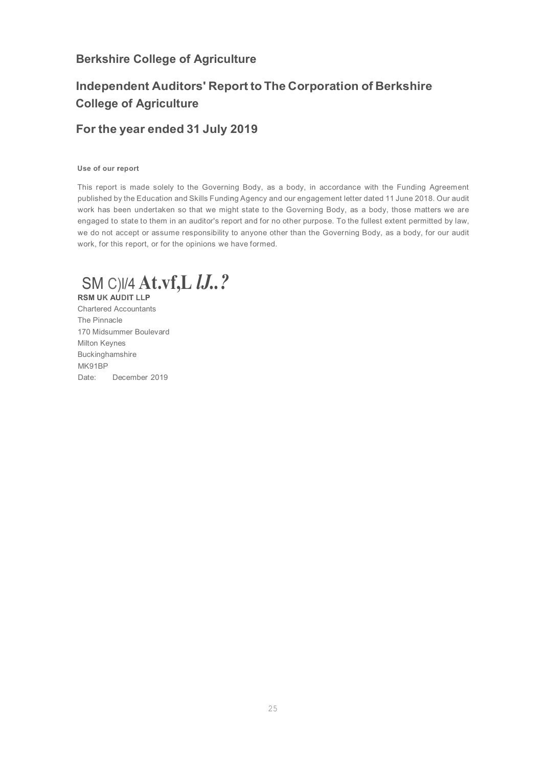## **Independent Auditors' Report to The Corporation of Berkshire College of Agriculture**

### **For the year ended 31 July 2019**

### **Use of our report**

This report is made solely to the Governing Body, as a body, in accordance with the Funding Agreement published by the Education and Skills Funding Agency and our engagement letter dated 11 June 2018. Our audit work has been undertaken so that we might state to the Governing Body, as a body, those matters we are engaged to state to them in an auditor's report and for no other purpose. To the fullest extent permitted by law, we do not accept or assume responsibility to anyone other than the Governing Body, as a body, for our audit work, for this report, or for the opinions we have formed.

SM C)l/4 **At.vf,L** *lJ..?* **RSM UK AUDIT LLP**

Chartered Accountants The Pinnacle 170 Midsummer Boulevard Milton Keynes Buckinghamshire MK91BP Date: December 2019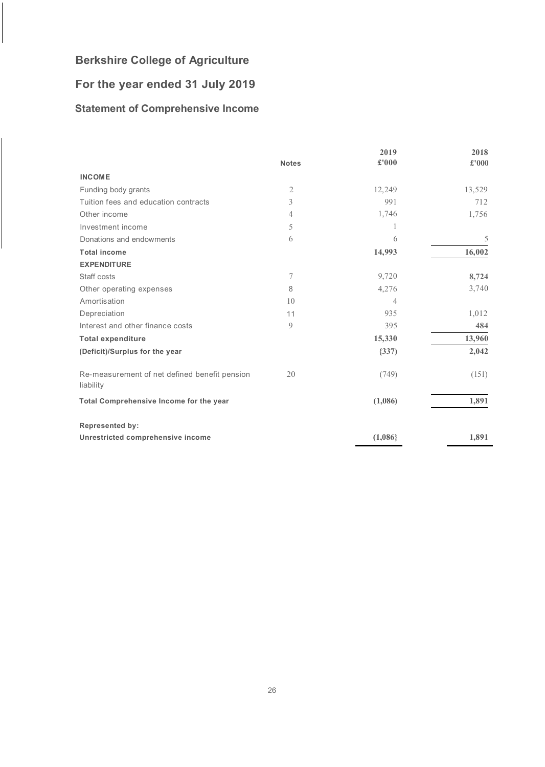## **For the year ended 31 July 2019**

## <span id="page-26-0"></span>**Statement of Comprehensive Income**

|                                                            |                  | 2019    | 2018   |
|------------------------------------------------------------|------------------|---------|--------|
|                                                            | <b>Notes</b>     | £'000   | £'000  |
| <b>INCOME</b>                                              |                  |         |        |
| Funding body grants                                        | $\mathfrak{2}$   | 12,249  | 13,529 |
| Tuition fees and education contracts                       | 3                | 991     | 712    |
| Other income                                               | 4                | 1,746   | 1,756  |
| Investment income                                          | 5                | 1       |        |
| Donations and endowments                                   | 6                | 6       | 5      |
| <b>Total income</b>                                        |                  | 14,993  | 16,002 |
| <b>EXPENDITURE</b>                                         |                  |         |        |
| Staff costs                                                | $\boldsymbol{7}$ | 9,720   | 8,724  |
| Other operating expenses                                   | 8                | 4,276   | 3,740  |
| Amortisation                                               | 10               | 4       |        |
| Depreciation                                               | 11               | 935     | 1,012  |
| Interest and other finance costs                           | 9                | 395     | 484    |
| <b>Total expenditure</b>                                   |                  | 15,330  | 13,960 |
| (Deficit)/Surplus for the year                             |                  | (337)   | 2,042  |
| Re-measurement of net defined benefit pension<br>liability | 20               | (749)   | (151)  |
| Total Comprehensive Income for the year                    |                  | (1,086) | 1,891  |
| <b>Represented by:</b>                                     |                  |         |        |
| Unrestricted comprehensive income                          |                  | (1,086) | 1,891  |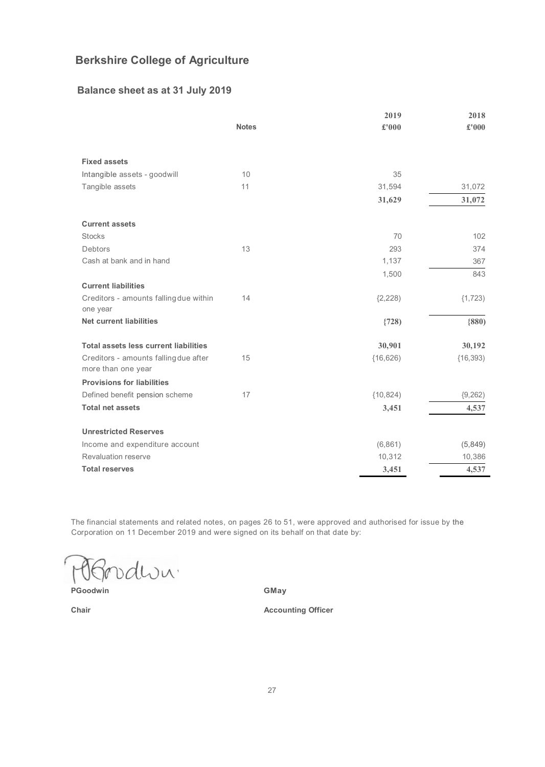### **Balance sheet as at 31 July 2019**

|                                                             |              | 2019      | 2018      |
|-------------------------------------------------------------|--------------|-----------|-----------|
|                                                             | <b>Notes</b> | £'000     | £'000     |
|                                                             |              |           |           |
| <b>Fixed assets</b>                                         |              |           |           |
| Intangible assets - goodwill                                | 10           | 35        |           |
| Tangible assets                                             | 11           | 31,594    | 31,072    |
|                                                             |              | 31,629    | 31,072    |
| <b>Current assets</b>                                       |              |           |           |
| <b>Stocks</b>                                               |              | 70        | 102       |
| Debtors                                                     | 13           | 293       | 374       |
| Cash at bank and in hand                                    |              | 1,137     | 367       |
|                                                             |              | 1,500     | 843       |
| <b>Current liabilities</b>                                  |              |           |           |
| Creditors - amounts falling due within<br>one year          | 14           | (2, 228)  | (1, 723)  |
| <b>Net current liabilities</b>                              |              | (728)     | ${880}$   |
| <b>Total assets less current liabilities</b>                |              | 30,901    | 30,192    |
| Creditors - amounts falling due after<br>more than one year | 15           | (16, 626) | (16, 393) |
| <b>Provisions for liabilities</b>                           |              |           |           |
| Defined benefit pension scheme                              | 17           | (10, 824) | (9, 262)  |
| <b>Total net assets</b>                                     |              | 3,451     | 4,537     |
| <b>Unrestricted Reserves</b>                                |              |           |           |
| Income and expenditure account                              |              | (6,861)   | (5,849)   |
| Revaluation reserve                                         |              | 10,312    | 10,386    |
| <b>Total reserves</b>                                       |              | 3,451     | 4,537     |

The financial statements and related notes, on pages 26 to 51, were approved and authorised for issue by the Corporation on 11 December 2019 and were signed on its behalf on that date by:

vdwu. Y

**PGoodwin** 

**GMay**

**Accounting Officer**

**Chair**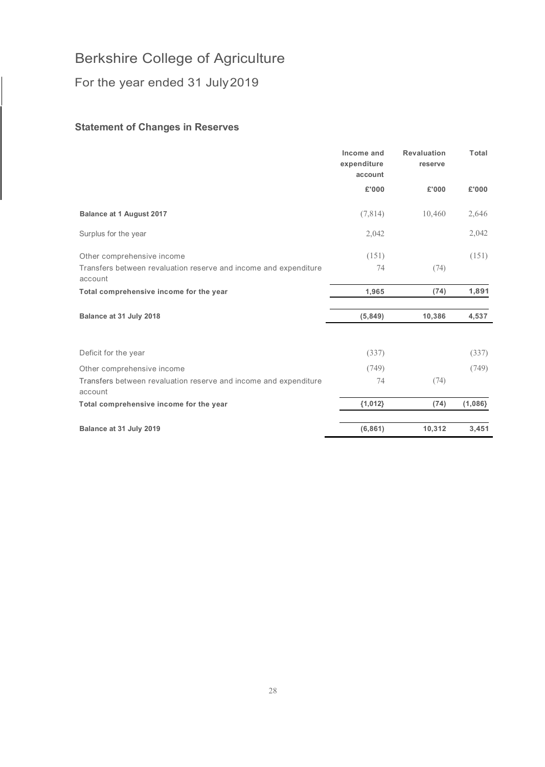For the year ended 31 July2019

### <span id="page-28-0"></span>**Statement of Changes in Reserves**

|                                                                             | Income and<br>expenditure<br>account | <b>Revaluation</b><br>reserve | Total   |
|-----------------------------------------------------------------------------|--------------------------------------|-------------------------------|---------|
|                                                                             | £'000                                | £'000                         | £'000   |
| <b>Balance at 1 August 2017</b>                                             | (7, 814)                             | 10,460                        | 2,646   |
| Surplus for the year                                                        | 2,042                                |                               | 2,042   |
| Other comprehensive income                                                  | (151)                                |                               | (151)   |
| Transfers between revaluation reserve and income and expenditure<br>account | 74                                   | (74)                          |         |
| Total comprehensive income for the year                                     | 1,965                                | (74)                          | 1,891   |
| Balance at 31 July 2018                                                     | (5,849)                              | 10,386                        | 4,537   |
| Deficit for the year                                                        | (337)                                |                               | (337)   |
| Other comprehensive income                                                  | (749)                                |                               | (749)   |
| Transfers between revaluation reserve and income and expenditure<br>account | 74                                   | (74)                          |         |
| Total comprehensive income for the year                                     | ${1,012}$                            | (74)                          | (1,086) |
| Balance at 31 July 2019                                                     | (6, 861)                             | 10,312                        | 3,451   |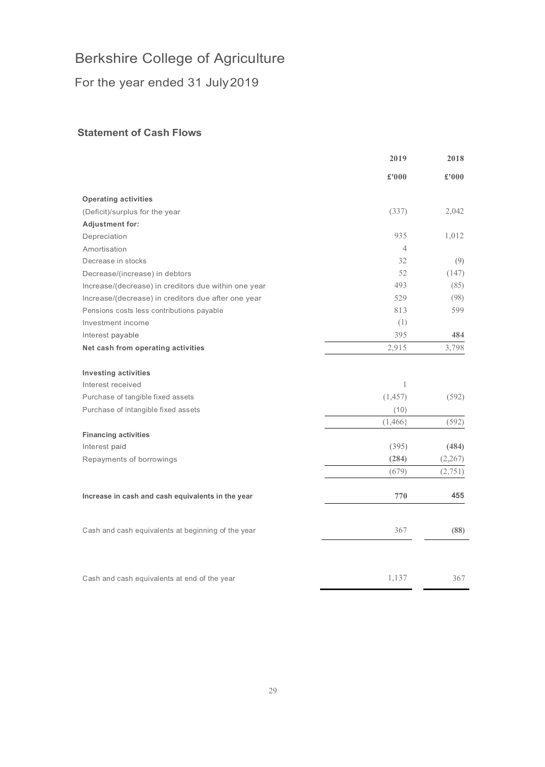For the year ended 31 July2019

### <span id="page-29-0"></span>**Statement of Cash Flows**

|                                                      | 2019           | 2018    |
|------------------------------------------------------|----------------|---------|
|                                                      | £'000          | £'000   |
| <b>Operating activities</b>                          |                |         |
| (Deficit)/surplus for the year                       | (337)          | 2,042   |
| Adjustment for:                                      |                |         |
| Depreciation                                         | 935            | 1,012   |
| Amortisation                                         | $\overline{4}$ |         |
| Decrease in stocks                                   | 32             | (9)     |
| Decrease/(increase) in debtors                       | 52             | (147)   |
| Increase/(decrease) in creditors due within one year | 493            | (85)    |
| Increase/(decrease) in creditors due after one year  | 529            | (98)    |
| Pensions costs less contributions payable            | 813            | 599     |
| Investment income                                    | (1)            |         |
| Interest payable                                     | 395            | 484     |
| Net cash from operating activities                   | 2,915          | 3,798   |
| <b>Investing activities</b>                          |                |         |
| Interest received                                    | $\mathbf{1}$   |         |
| Purchase of tangible fixed assets                    | (1, 457)       | (592)   |
| Purchase of intangible fixed assets                  | (10)           |         |
|                                                      | (1,466)        | (592)   |
| <b>Financing activities</b>                          |                |         |
| Interest paid                                        | (395)          | (484)   |
| Repayments of borrowings                             | (284)          | (2,267) |
|                                                      | (679)          | (2,751) |
| Increase in cash and cash equivalents in the year    | 770            | 455     |
| Cash and cash equivalents at beginning of the year   | 367            | (88)    |
| Cash and cash equivalents at end of the year         | 1,137          | 367     |
|                                                      |                |         |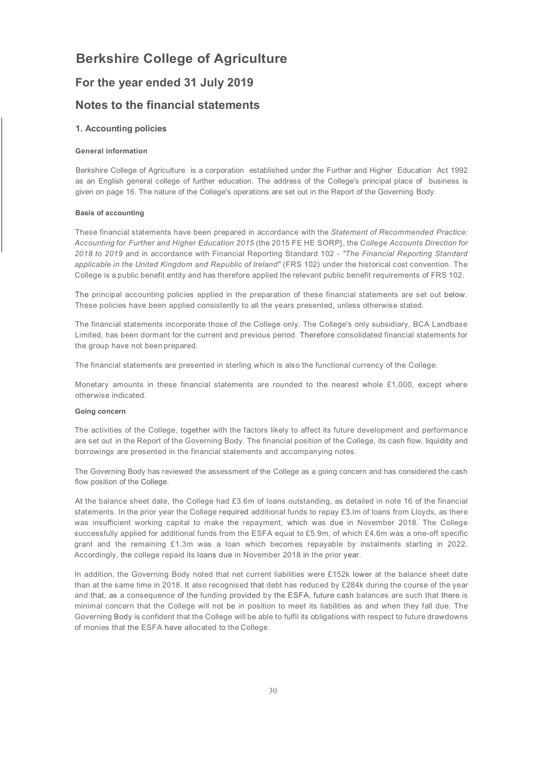### **For the year ended 31 July 2019**

### **Notes to the financial statements**

### **1. Accounting policies**

#### **General information**

Berkshire College of Agriculture is a corporation established under the Further and Higher Education Act 1992 as an English general college of further education. The address of the College's principal place of business is given on page 16. The nature of the College's operations are set out in the Report of the Governing Body.

#### **Basis of accounting**

These financial statements have been prepared in accordance with the *Statement of Recommended Practice: Accounting for Further and Higher Education 2015* (the 2015 FE HE SORP}, the *College Accounts Direction for 2018 to 2019* and in accordance with Financial Reporting Standard 102 - *"The Financial Reporting Standard applicable in the United Kingdom and Republic of Ireland"* (FRS 102) under the historical cost convention. The College is a public benefit entity and has therefore applied the relevant public benefit requirements of FRS 102.

The principal accounting policies applied in the preparation of these financial statements are set out below. These policies have been applied consistently to all the years presented, unless otherwise stated.

The financial statements incorporate those of the College only. The College's only subsidiary, BCA Landbase Limited, has been dormant for the current and previous period. Therefore consolidated financial statements for the group have not been prepared.

The financial statements are presented in sterling which is also the functional currency of the College.

Monetary amounts in these financial statements are rounded to the nearest whole £1,000, except where otherwise indicated.

#### **Going concern**

The activities of the College, together with the factors likely to affect its future development and performance are set out in the Report of the Governing Body. The financial position of the College, its cash flow, liquidity and borrowings are presented in the financial statements and accompanying notes.

The Governing Body has reviewed the assessment of the College as a going concern and has considered the cash flow position of the College.

At the balance sheet date, the College had £3.6m of loans outstanding, as detailed in note 16 of the financial statements. In the prior year the College required additional funds to repay £3.lm of loans from Lloyds, as there was insufficient working capital to make the repayment, which was due in November 2018. The College successfully applied for additional funds from the ESFA equal to £5.9m, of which £4.6m was a one-off specific grant and the remaining £1.3m was a loan which becomes repayable by instalments starting in 2022. Accordingly, the college repaid its loans due in November 2018 in the prior year.

In addition, the Governing Body noted that net current liabilities were £152k lower at the balance sheet date than at the same time in 2018. It also recognised that debt has reduced by £284k during the course of the year and that, as a consequence of the funding provided by the ESFA, future cash balances are such that there is minimal concern that the College will not be in position to meet its liabilities as and when they fall due. The Governing Body is confident that the College will be able to fulfil its obligations with respect to future drawdowns of monies that the ESFA have allocated to the College.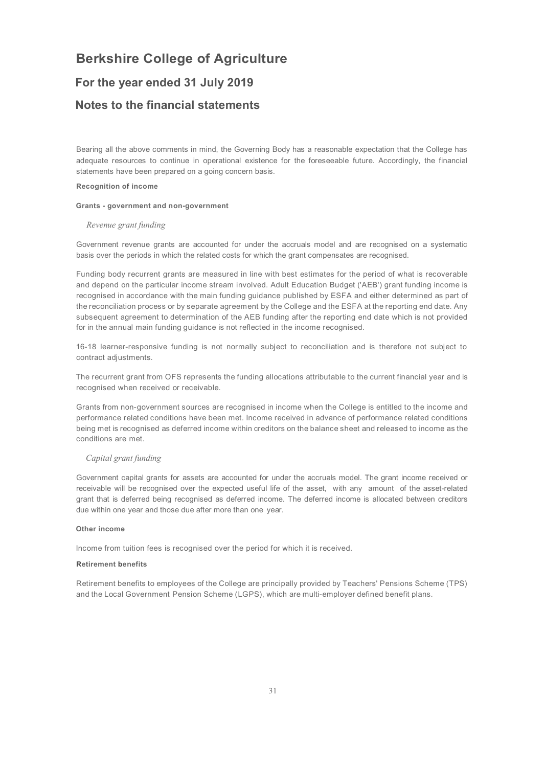### **For the year ended 31 July 2019**

### **Notes to the financial statements**

Bearing all the above comments in mind, the Governing Body has a reasonable expectation that the College has adequate resources to continue in operational existence for the foreseeable future. Accordingly, the financial statements have been prepared on a going concern basis.

### **Recognition of income**

#### **Grants - government and non-government**

#### *Revenue grant funding*

Government revenue grants are accounted for under the accruals model and are recognised on a systematic basis over the periods in which the related costs for which the grant compensates are recognised.

Funding body recurrent grants are measured in line with best estimates for the period of what is recoverable and depend on the particular income stream involved. Adult Education Budget ('AEB') grant funding income is recognised in accordance with the main funding guidance published by ESFA and either determined as part of the reconciliation process or by separate agreement by the College and the ESFA at the reporting end date. Any subsequent agreement to determination of the AEB funding after the reporting end date which is not provided for in the annual main funding guidance is not reflected in the income recognised.

16-18 learner-responsive funding is not normally subject to reconciliation and is therefore not subject to contract adjustments.

The recurrent grant from OFS represents the funding allocations attributable to the current financial year and is recognised when received or receivable.

Grants from non-government sources are recognised in income when the College is entitled to the income and performance related conditions have been met. Income received in advance of performance related conditions being met is recognised as deferred income within creditors on the balance sheet and released to income as the conditions are met.

### *Capital grant funding*

Government capital grants for assets are accounted for under the accruals model. The grant income received or receivable will be recognised over the expected useful life of the asset, with any amount of the asset-related grant that is deferred being recognised as deferred income. The deferred income is allocated between creditors due within one year and those due after more than one year.

#### **Other income**

Income from tuition fees is recognised over the period for which it is received.

#### **Retirement benefits**

Retirement benefits to employees of the College are principally provided by Teachers' Pensions Scheme (TPS) and the Local Government Pension Scheme (LGPS), which are multi-employer defined benefit plans.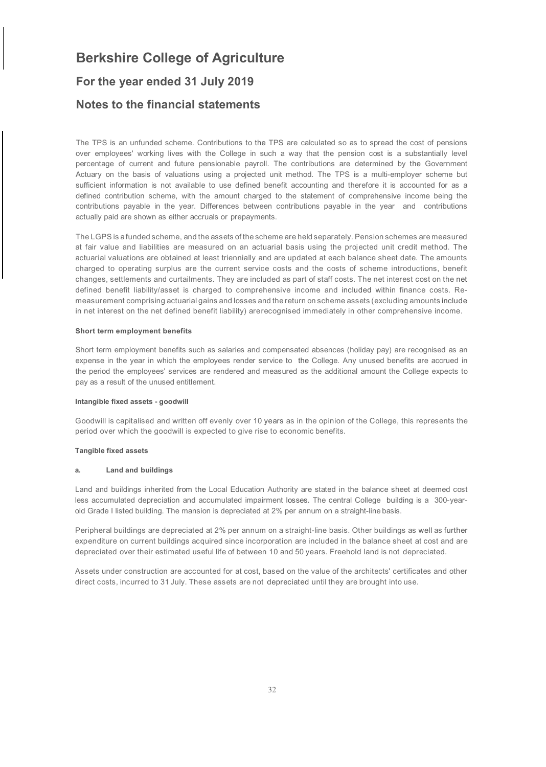# **Berkshire College of Agriculture For the year ended 31 July 2019 Notes to the financial statements**

The TPS is an unfunded scheme. Contributions to the TPS are calculated so as to spread the cost of pensions over employees' working lives with the College in such a way that the pension cost is a substantially level percentage of current and future pensionable payroll. The contributions are determined by the Government Actuary on the basis of valuations using a projected unit method. The TPS is a multi-employer scheme but sufficient information is not available to use defined benefit accounting and therefore it is accounted for as a defined contribution scheme, with the amount charged to the statement of comprehensive income being the contributions payable in the year. Differences between contributions payable in the year and contributions actually paid are shown as either accruals or prepayments.

The LGPS is afunded scheme, and the assets of the scheme are held separately. Pension schemes are measured at fair value and liabilities are measured on an actuarial basis using the projected unit credit method. The actuarial valuations are obtained at least triennially and are updated at each balance sheet date. The amounts charged to operating surplus are the current service costs and the costs of scheme introductions, benefit changes, settlements and curtailments. They are included as part of staff costs. The net interest cost on the net defined benefit liability/asset is charged to comprehensive income and included within finance costs. Remeasurement comprising actuarial gains and losses and the return on scheme assets (excluding amounts include in net interest on the net defined benefit liability) arerecognised immediately in other comprehensive income.

#### **Short term employment benefits**

Short term employment benefits such as salaries and compensated absences (holiday pay) are recognised as an expense in the year in which the employees render service to the College. Any unused benefits are accrued in the period the employees' services are rendered and measured as the additional amount the College expects to pay as a result of the unused entitlement.

#### **Intangible fixed assets - goodwill**

Goodwill is capitalised and written off evenly over 10 years as in the opinion of the College, this represents the period over which the goodwill is expected to give rise to economic benefits.

#### **Tangible fixed assets**

#### **a. Land and buildings**

Land and buildings inherited from the Local Education Authority are stated in the balance sheet at deemed cost less accumulated depreciation and accumulated impairment losses. The central College building is a 300-yearold Grade I listed building. The mansion is depreciated at 2% per annum on a straight-line basis.

Peripheral buildings are depreciated at 2% per annum on a straight-line basis. Other buildings as well as further expenditure on current buildings acquired since incorporation are included in the balance sheet at cost and are depreciated over their estimated useful life of between 10 and 50 years. Freehold land is not depreciated.

Assets under construction are accounted for at cost, based on the value of the architects' certificates and other direct costs, incurred to 31 July. These assets are not depreciated until they are brought into use.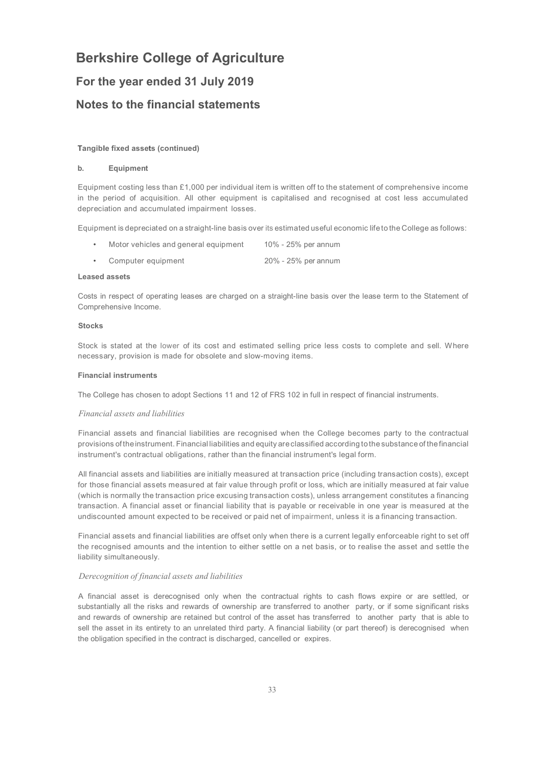### **For the year ended 31 July 2019**

### **Notes to the financial statements**

#### **Tangible fixed assets (continued)**

#### **b. Equipment**

Equipment costing less than £1,000 per individual item is written off to the statement of comprehensive income in the period of acquisition. All other equipment is capitalised and recognised at cost less accumulated depreciation and accumulated impairment losses.

Equipment is depreciated on a straight-line basis over its estimated useful economic lifeto the College as follows:

- Motor vehicles and general equipment 10% - 25% per annum
- Computer equipment 20% - 25% per annum

#### **Leased assets**

Costs in respect of operating leases are charged on a straight-line basis over the lease term to the Statement of Comprehensive Income.

#### **Stocks**

Stock is stated at the lower of its cost and estimated selling price less costs to complete and sell. Where necessary, provision is made for obsolete and slow-moving items.

#### **Financial instruments**

The College has chosen to adopt Sections 11 and 12 of FRS 102 in full in respect of financial instruments.

#### *Financial assets and liabilities*

Financial assets and financial liabilities are recognised when the College becomes party to the contractual provisions of theinstrument. Financial liabilities and equity areclassified according tothe substance of thefinancial instrument's contractual obligations, rather than the financial instrument's legal form.

All financial assets and liabilities are initially measured at transaction price (including transaction costs), except for those financial assets measured at fair value through profit or loss, which are initially measured at fair value (which is normally the transaction price excusing transaction costs), unless arrangement constitutes a financing transaction. A financial asset or financial liability that is payable or receivable in one year is measured at the undiscounted amount expected to be received or paid net of impairment, unless it is a financing transaction.

Financial assets and financial liabilities are offset only when there is a current legally enforceable right to set off the recognised amounts and the intention to either settle on a net basis, or to realise the asset and settle the liability simultaneously.

#### *Derecognition of financial assets and liabilities*

A financial asset is derecognised only when the contractual rights to cash flows expire or are settled, or substantially all the risks and rewards of ownership are transferred to another party, or if some significant risks and rewards of ownership are retained but control of the asset has transferred to another party that is able to sell the asset in its entirety to an unrelated third party. A financial liability (or part thereof) is derecognised when the obligation specified in the contract is discharged, cancelled or expires.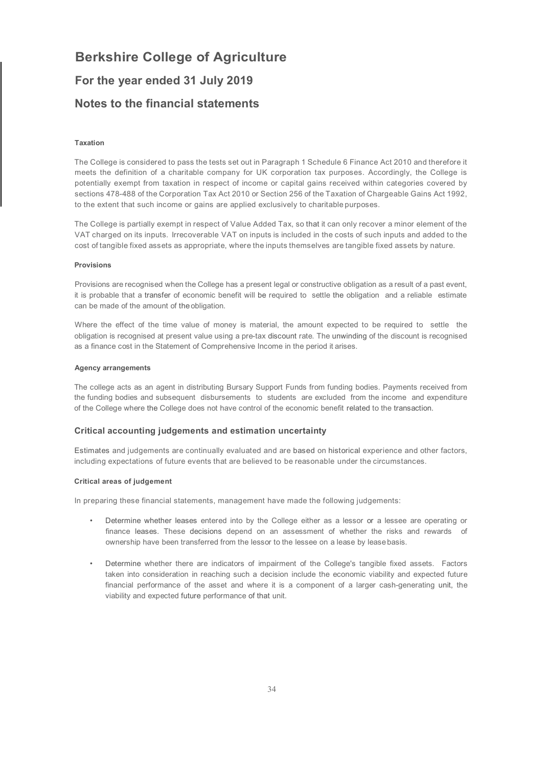# **Berkshire College of Agriculture For the year ended 31 July 2019 Notes to the financial statements**

#### **Taxation**

The College is considered to pass the tests set out in Paragraph 1 Schedule 6 Finance Act 2010 and therefore it meets the definition of a charitable company for UK corporation tax purposes. Accordingly, the College is potentially exempt from taxation in respect of income or capital gains received within categories covered by sections 478-488 of the Corporation Tax Act 2010 or Section 256 of the Taxation of Chargeable Gains Act 1992, to the extent that such income or gains are applied exclusively to charitable purposes.

The College is partially exempt in respect of Value Added Tax, so that it can only recover a minor element of the VAT charged on its inputs. Irrecoverable VAT on inputs is included in the costs of such inputs and added to the cost of tangible fixed assets as appropriate, where the inputs themselves are tangible fixed assets by nature.

#### **Provisions**

Provisions are recognised when the College has a present legal or constructive obligation as a result of a past event, it is probable that a transfer of economic benefit will be required to settle the obligation and a reliable estimate can be made of the amount of theobligation.

Where the effect of the time value of money is material, the amount expected to be required to settle the obligation is recognised at present value using a pre-tax discount rate. The unwinding of the discount is recognised as a finance cost in the Statement of Comprehensive Income in the period it arises.

#### **Agency arrangements**

The college acts as an agent in distributing Bursary Support Funds from funding bodies. Payments received from the funding bodies and subsequent disbursements to students are excluded from the income and expenditure of the College where the College does not have control of the economic benefit related to the transaction.

#### **Critical accounting judgements and estimation uncertainty**

Estimates and judgements are continually evaluated and are based on historical experience and other factors, including expectations of future events that are believed to be reasonable under the circumstances.

### **Critical areas of judgement**

In preparing these financial statements, management have made the following judgements:

- Determine whether leases entered into by the College either as a lessor or a lessee are operating or finance leases. These decisions depend on an assessment of whether the risks and rewards of ownership have been transferred from the lessor to the lessee on a lease by leasebasis.
- Determine whether there are indicators of impairment of the College's tangible fixed assets. Factors taken into consideration in reaching such a decision include the economic viability and expected future financial performance of the asset and where it is a component of a larger cash-generating unit, the viability and expected future performance of that unit.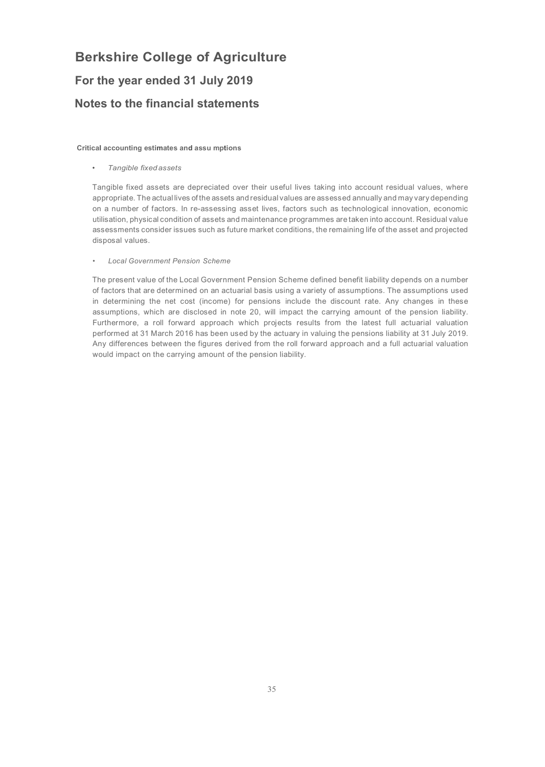# **Berkshire College of Agriculture For the year ended 31 July 2019**

## **Notes to the financial statements**

**Critical accounting estimates and assu mptions**

• *Tangible fixed assets*

Tangible fixed assets are depreciated over their useful lives taking into account residual values, where appropriate. The actual lives of the assets and residual values are assessed annually and may vary depending on a number of factors. In re-assessing asset lives, factors such as technological innovation, economic utilisation, physical condition of assets and maintenance programmes are taken into account. Residual value assessments consider issues such as future market conditions, the remaining life of the asset and projected disposal values.

#### • *Local Government Pension Scheme*

The present value of the Local Government Pension Scheme defined benefit liability depends on a number of factors that are determined on an actuarial basis using a variety of assumptions. The assumptions used in determining the net cost (income) for pensions include the discount rate. Any changes in these assumptions, which are disclosed in note 20, will impact the carrying amount of the pension liability. Furthermore, a roll forward approach which projects results from the latest full actuarial valuation performed at 31 March 2016 has been used by the actuary in valuing the pensions liability at 31 July 2019. Any differences between the figures derived from the roll forward approach and a full actuarial valuation would impact on the carrying amount of the pension liability.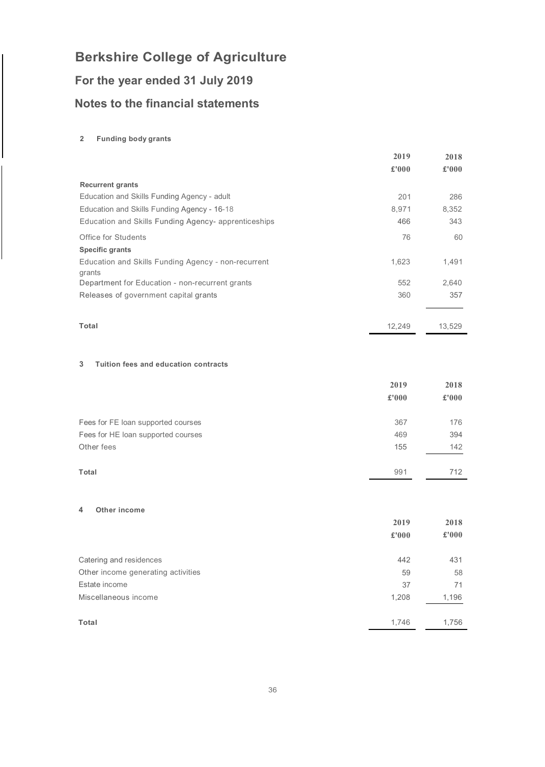# **For the year ended 31 July 2019**

## **Notes to the financial statements**

### **2 Funding body grants**

|                                                               | 2019  | 2018  |
|---------------------------------------------------------------|-------|-------|
|                                                               | £'000 | £'000 |
| <b>Recurrent grants</b>                                       |       |       |
| Education and Skills Funding Agency - adult                   | 201   | 286   |
| Education and Skills Funding Agency - 16-18                   | 8,971 | 8,352 |
| Education and Skills Funding Agency- apprenticeships          | 466   | 343   |
| Office for Students                                           | 76    | 60    |
| <b>Specific grants</b>                                        |       |       |
| Education and Skills Funding Agency - non-recurrent<br>grants | 1,623 | 1,491 |
| Department for Education - non-recurrent grants               | 552   | 2.640 |
| Releases of government capital grants                         | 360   | 357   |

#### **Total** 12,249 13,529

### **3 Tuition fees and education contracts**

|                                    | 2019  | 2018  |
|------------------------------------|-------|-------|
|                                    | £'000 | £'000 |
|                                    |       |       |
| Fees for FE loan supported courses | 367   | 176   |
| Fees for HE loan supported courses | 469   | 394   |
| Other fees                         | 155   | 142   |
|                                    |       |       |
| Total                              | 991   | 712   |

### **4 Other income**

|                                    | 2019<br>£'000 | 2018<br>£'000 |
|------------------------------------|---------------|---------------|
| Catering and residences            | 442           | 431           |
| Other income generating activities | 59            | 58            |
| Estate income                      | 37            | 71            |
| Miscellaneous income               | 1,208         | 1,196         |
| Total                              | 1,746         | 1,756         |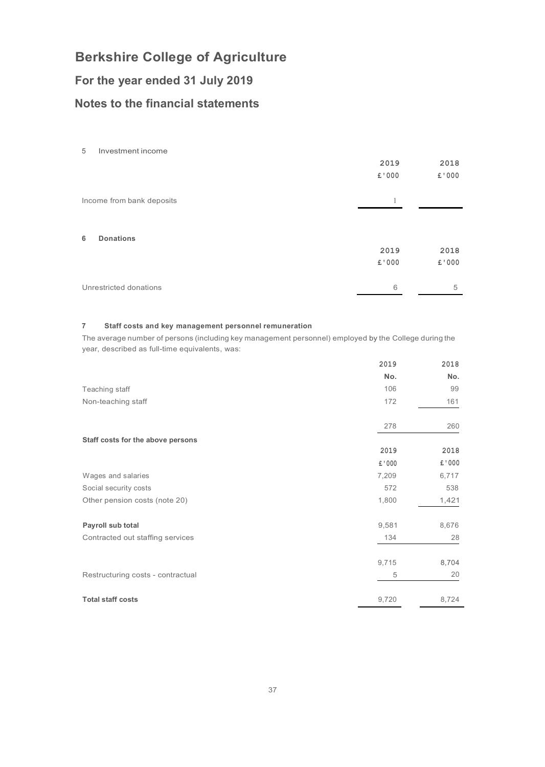## **For the year ended 31 July 2019**

## **Notes to the financial statements**

| 5<br>Investment income    |       |        |
|---------------------------|-------|--------|
|                           | 2019  | 2018   |
|                           | £'000 | £'000  |
| Income from bank deposits | 1     |        |
|                           |       |        |
| <b>Donations</b><br>6     |       |        |
|                           | 2019  | 2018   |
|                           | £'000 | £ '000 |
| Unrestricted donations    | 6     | 5      |

### **7 Staff costs and key management personnel remuneration**

The average number of persons (including key management personnel) employed by the College during the year, described as full-time equivalents, was:

|                                   | 2019   | 2018  |
|-----------------------------------|--------|-------|
|                                   | No.    | No.   |
| Teaching staff                    | 106    | 99    |
| Non-teaching staff                | 172    | 161   |
|                                   | 278    | 260   |
| Staff costs for the above persons |        |       |
|                                   | 2019   | 2018  |
|                                   | £ '000 | £'000 |
| Wages and salaries                | 7,209  | 6,717 |
| Social security costs             | 572    | 538   |
| Other pension costs (note 20)     | 1,800  | 1,421 |
| Payroll sub total                 | 9,581  | 8,676 |
| Contracted out staffing services  | 134    | 28    |
|                                   | 9,715  | 8,704 |
| Restructuring costs - contractual | 5      | 20    |
| <b>Total staff costs</b>          | 9,720  | 8,724 |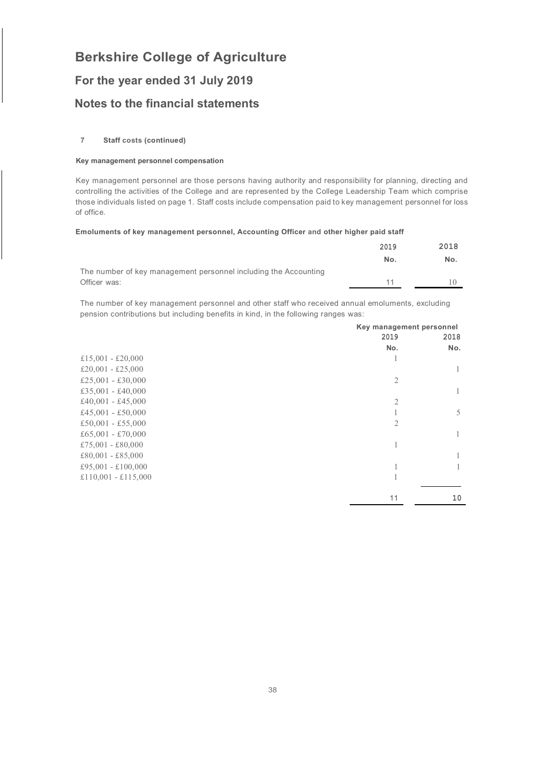### **For the year ended 31 July 2019**

### **Notes to the financial statements**

### **7 Staff costs (continued)**

#### **Key management personnel compensation**

Key management personnel are those persons having authority and responsibility for planning, directing and controlling the activities of the College and are represented by the College Leadership Team which comprise those individuals listed on page 1. Staff costs include compensation paid to key management personnel for loss of office.

#### **Emoluments of key management personnel, Accounting Officer and other higher paid staff**

|                                                                 | 2019 | 2018 |
|-----------------------------------------------------------------|------|------|
|                                                                 | No.  | No.  |
| The number of key management personnel including the Accounting |      |      |
| Officer was:                                                    | 11   |      |

The number of key management personnel and other staff who received annual emoluments, excluding pension contributions but including benefits in kind, in the following ranges was:

|                     | Key management personnel |      |
|---------------------|--------------------------|------|
|                     | 2019                     | 2018 |
|                     | No.                      | No.  |
| £15,001 - £20,000   |                          |      |
| £20,001 - £25,000   |                          |      |
| £25,001 - £30,000   | $\overline{2}$           |      |
| £35,001 - £40,000   |                          | 1    |
| £40,001 - £45,000   | $\overline{2}$           |      |
| £45,001 - £50,000   |                          | 5    |
| £50,001 - £55,000   | $\overline{2}$           |      |
| £65,001 - £70,000   |                          | 1    |
| £75,001 - £80,000   |                          |      |
| £80,001 - £85,000   |                          |      |
| £95,001 - £100,000  |                          |      |
| £110,001 - £115,000 | 1                        |      |
|                     | 11                       | 10   |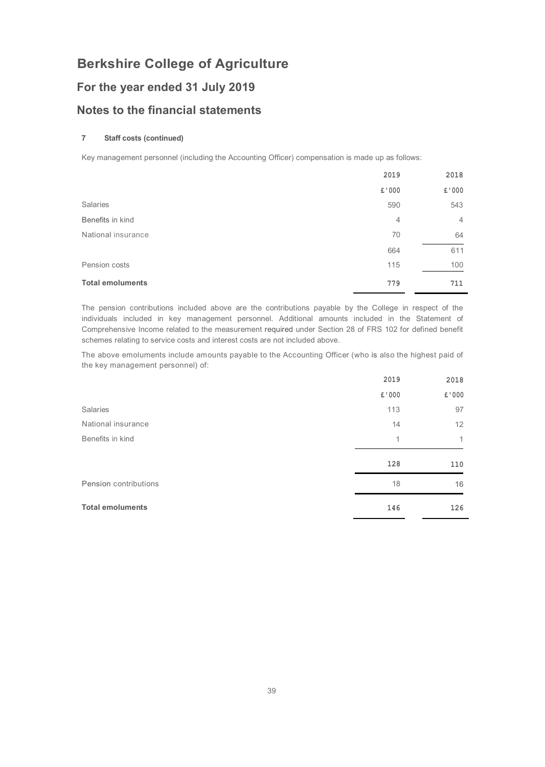## **For the year ended 31 July 2019**

### **Notes to the financial statements**

### **7 Staff costs (continued)**

Key management personnel (including the Accounting Officer) compensation is made up as follows:

|                         | 2019  | 2018           |
|-------------------------|-------|----------------|
|                         | £'000 | £'000          |
| <b>Salaries</b>         | 590   | 543            |
| Benefits in kind        | 4     | $\overline{4}$ |
| National insurance      | 70    | 64             |
|                         | 664   | 611            |
| Pension costs           | 115   | 100            |
| <b>Total emoluments</b> | 779   | 711            |

The pension contributions included above are the contributions payable by the College in respect of the individuals included in key management personnel. Additional amounts included in the Statement of Comprehensive Income related to the measurement required under Section 28 of FRS 102 for defined benefit schemes relating to service costs and interest costs are not included above.

The above emoluments include amounts payable to the Accounting Officer (who is also the highest paid of the key management personnel) of:

|                         | 2019  | 2018         |
|-------------------------|-------|--------------|
|                         | £'000 | £'000        |
| Salaries                | 113   | 97           |
| National insurance      | 14    | 12           |
| Benefits in kind        | 1     | $\mathbf{1}$ |
|                         | 128   | 110          |
| Pension contributions   | 18    | 16           |
| <b>Total emoluments</b> | 146   | 126          |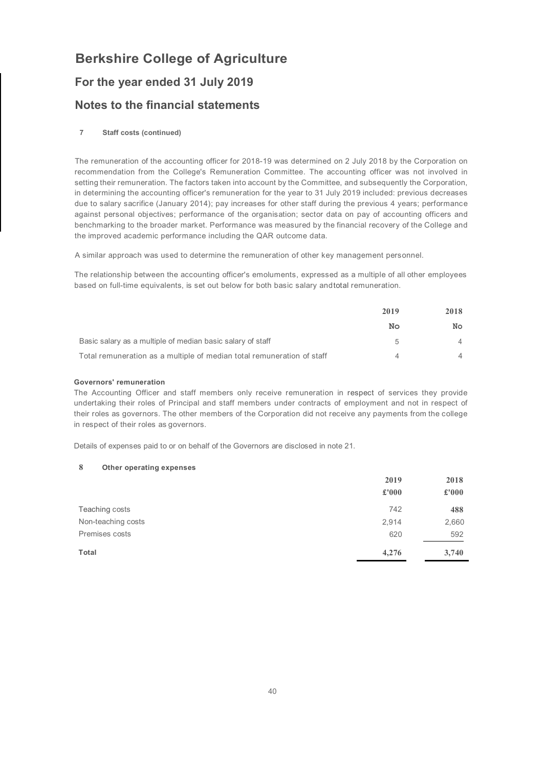## **For the year ended 31 July 2019**

### **Notes to the financial statements**

### **7 Staff costs (continued)**

The remuneration of the accounting officer for 2018-19 was determined on 2 July 2018 by the Corporation on recommendation from the College's Remuneration Committee. The accounting officer was not involved in setting their remuneration. The factors taken into account by the Committee, and subsequently the Corporation, in determining the accounting officer's remuneration for the year to 31 July 2019 included: previous decreases due to salary sacrifice (January 2014); pay increases for other staff during the previous 4 years; performance against personal objectives; performance of the organisation; sector data on pay of accounting officers and benchmarking to the broader market. Performance was measured by the financial recovery of the College and the improved academic performance including the QAR outcome data.

A similar approach was used to determine the remuneration of other key management personnel.

The relationship between the accounting officer's emoluments, expressed as a multiple of all other employees based on full-time equivalents, is set out below for both basic salary andtotal remuneration.

|                                                                        | 2019 |                | 2018 |
|------------------------------------------------------------------------|------|----------------|------|
|                                                                        | No   | No.            |      |
| Basic salary as a multiple of median basic salary of staff             | h    | 4              |      |
| Total remuneration as a multiple of median total remuneration of staff |      | $\overline{4}$ |      |

### **Governors' remuneration**

The Accounting Officer and staff members only receive remuneration in respect of services they provide undertaking their roles of Principal and staff members under contracts of employment and not in respect of their roles as governors. The other members of the Corporation did not receive any payments from the college in respect of their roles as governors.

Details of expenses paid to or on behalf of the Governors are disclosed in note 21.

### **8 Other operating expenses**

|                    | 2019  | 2018  |
|--------------------|-------|-------|
|                    | £'000 | £'000 |
| Teaching costs     | 742   | 488   |
| Non-teaching costs | 2,914 | 2,660 |
| Premises costs     | 620   | 592   |
| Total              | 4,276 | 3,740 |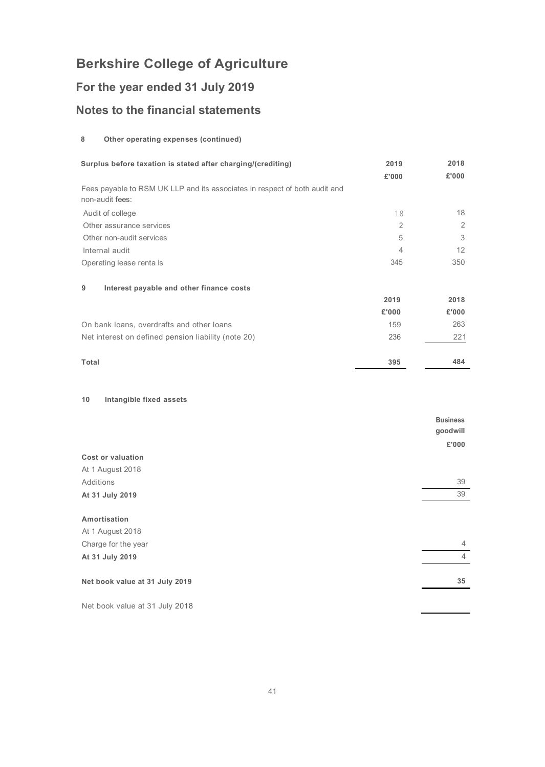## **For the year ended 31 July 2019**

## **Notes to the financial statements**

### **8 Other operating expenses (continued)**

| Surplus before taxation is stated after charging/(crediting)                                  | 2019<br>£'000 | 2018<br>£'000               |
|-----------------------------------------------------------------------------------------------|---------------|-----------------------------|
| Fees payable to RSM UK LLP and its associates in respect of both audit and<br>non-audit fees: |               |                             |
| Audit of college                                                                              | 18            | 18                          |
| Other assurance services                                                                      | 2             | $\overline{2}$              |
| Other non-audit services                                                                      | 5             | 3                           |
| Internal audit                                                                                | 4             | 12                          |
| Operating lease renta ls                                                                      | 345           | 350                         |
| Interest payable and other finance costs<br>9                                                 |               |                             |
|                                                                                               | 2019          | 2018                        |
|                                                                                               | £'000         | £'000                       |
| On bank loans, overdrafts and other loans                                                     | 159           | 263                         |
| Net interest on defined pension liability (note 20)                                           | 236           | 221                         |
| <b>Total</b>                                                                                  | 395           | 484                         |
| Intangible fixed assets<br>10                                                                 |               |                             |
|                                                                                               |               | <b>Business</b><br>goodwill |

|                                | <u>a</u> - - - - - - - |
|--------------------------------|------------------------|
|                                | £'000                  |
| <b>Cost or valuation</b>       |                        |
| At 1 August 2018               |                        |
| Additions                      | 39                     |
| At 31 July 2019                | 39                     |
|                                |                        |
| Amortisation                   |                        |
| At 1 August 2018               |                        |
| Charge for the year            | $\overline{4}$         |
| At 31 July 2019                | $\overline{4}$         |
|                                |                        |
| Net book value at 31 July 2019 | 35                     |
|                                |                        |
| Net book value at 31 July 2018 |                        |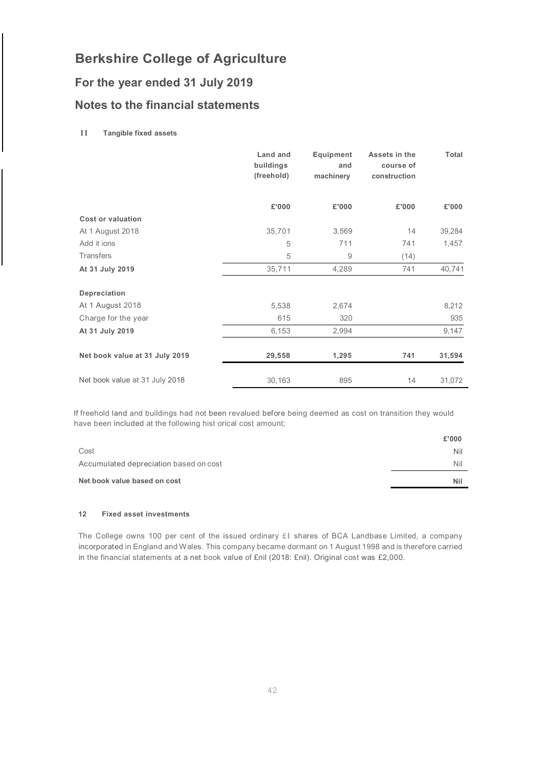## **For the year ended 31 July 2019**

### **Notes to the financial statements**

### **11 Tangible fixed assets**

|                                | Land and<br>buildings<br>(freehold) | Equipment<br>and<br>machinery | Assets in the<br>course of<br>construction | Total  |
|--------------------------------|-------------------------------------|-------------------------------|--------------------------------------------|--------|
|                                | £'000                               | £'000                         | £'000                                      | £'000  |
| <b>Cost or valuation</b>       |                                     |                               |                                            |        |
| At 1 August 2018               | 35,701                              | 3,569                         | 14                                         | 39,284 |
| Add it ions                    | 5                                   | 711                           | 741                                        | 1,457  |
| <b>Transfers</b>               | 5                                   | 9                             | (14)                                       |        |
| At 31 July 2019                | 35,711                              | 4,289                         | 741                                        | 40,741 |
| Depreciation                   |                                     |                               |                                            |        |
| At 1 August 2018               | 5,538                               | 2,674                         |                                            | 8,212  |
| Charge for the year            | 615                                 | 320                           |                                            | 935    |
| At 31 July 2019                | 6,153                               | 2,994                         |                                            | 9,147  |
| Net book value at 31 July 2019 | 29,558                              | 1,295                         | 741                                        | 31,594 |
| Net book value at 31 July 2018 | 30,163                              | 895                           | 14                                         | 31,072 |

If freehold land and buildings had not been revalued before being deemed as cost on transition they would have been included at the following hist orical cost amount;

| Net book value based on cost           | Ni    |
|----------------------------------------|-------|
| Accumulated depreciation based on cost | Nil   |
| Cost                                   | Nil   |
|                                        | £'000 |

#### **12 Fixed asset investments**

The College owns 100 per cent of the issued ordinary £1 shares of BCA Landbase Limited, a company incorporated in England and Wales. This company became dormant on 1 August 1998 and is therefore carried in the financial statements at a net book value of £nil (2018: £nil). Original cost was £2,000.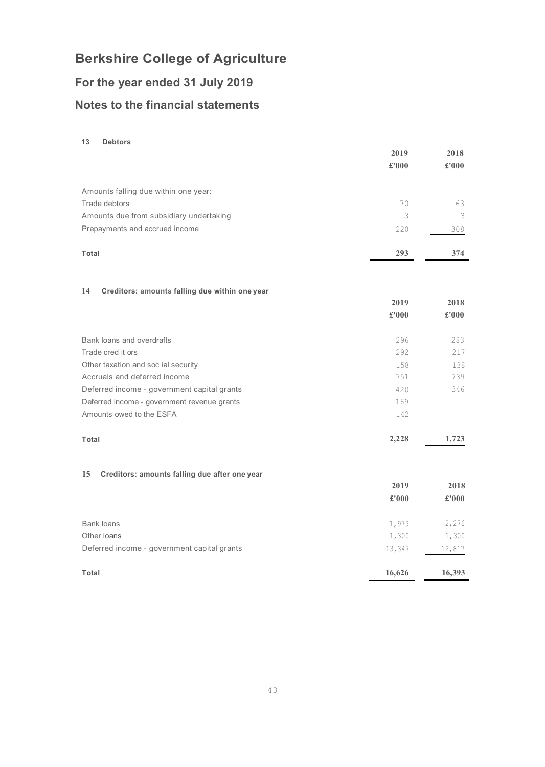# **For the year ended 31 July 2019 Notes to the financial statements**

### **13 Debtors**

|                                                      | 2019          | 2018   |
|------------------------------------------------------|---------------|--------|
|                                                      | £'000         | £'000  |
| Amounts falling due within one year:                 |               |        |
| Trade debtors                                        | 70            | 63     |
| Amounts due from subsidiary undertaking              | 3             | 3      |
| Prepayments and accrued income                       | 220           | 308    |
| Total                                                | 293           | 374    |
| 14<br>Creditors: amounts falling due within one year |               |        |
|                                                      | 2019          | 2018   |
|                                                      | $\pounds$ 000 | £'000  |
| Bank loans and overdrafts                            | 296           | 283    |
| Trade cred it ors                                    | 292           | 217    |
| Other taxation and soc ial security                  | 158           | 138    |
| Accruals and deferred income                         | 751           | 739    |
| Deferred income - government capital grants          | 420           | 346    |
| Deferred income - government revenue grants          | 169           |        |
| Amounts owed to the ESFA                             | 142           |        |
| Total                                                | 2,228         | 1,723  |
| 15<br>Creditors: amounts falling due after one year  |               |        |
|                                                      | 2019          | 2018   |
|                                                      | £'000         | £'000  |
| Bank loans                                           | 1,979         | 2,276  |
| Other loans                                          | 1,300         | 1,300  |
| Deferred income - government capital grants          | 13,347        | 12,817 |
| Total                                                | 16,626        | 16,393 |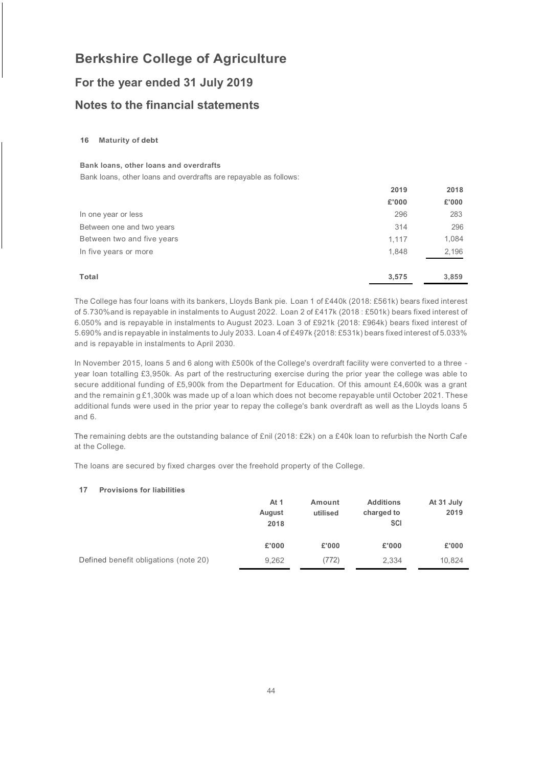## **For the year ended 31 July 2019 Notes to the financial statements**

### **16 Maturity of debt**

### **Bank loans, other loans and overdrafts**

Bank loans, other loans and overdrafts are repayable as follows:

|                            | 2019  | 2018  |
|----------------------------|-------|-------|
|                            | £'000 | £'000 |
| In one year or less        | 296   | 283   |
| Between one and two years  | 314   | 296   |
| Between two and five years | 1,117 | 1,084 |
| In five years or more      | 1,848 | 2,196 |
| Total                      | 3,575 | 3,859 |

The College has four loans with its bankers, Lloyds Bank pie. Loan 1 of £440k (2018: £561k) bears fixed interest of 5.730%and is repayable in instalments to August 2022. Loan 2 of £417k (2018 : £501k) bears fixed interest of 6.050% and is repayable in instalments to August 2023. Loan 3 of £921k {2018: £964k) bears fixed interest of 5.690% and is repayable in instalments to July 2033. Loan 4 of £497k {2018: £531k) bears fixed interest of 5.033% and is repayable in instalments to April 2030.

In November 2015, loans 5 and 6 along with £500k of the College's overdraft facility were converted to a three year loan totalling £3,950k. As part of the restructuring exercise during the prior year the college was able to secure additional funding of £5,900k from the Department for Education. Of this amount £4,600k was a grant and the remainin g £1,300k was made up of a loan which does not become repayable until October 2021. These additional funds were used in the prior year to repay the college's bank overdraft as well as the Lloyds loans 5 and 6.

The remaining debts are the outstanding balance of £nil (2018: £2k) on a £40k loan to refurbish the North Cafe at the College.

The loans are secured by fixed charges over the freehold property of the College.

### **17 Provisions for liabilities**

|                                       | At 1<br>August<br>2018 | Amount<br>utilised | <b>Additions</b><br>charged to<br>SCI | At 31 July<br>2019 |
|---------------------------------------|------------------------|--------------------|---------------------------------------|--------------------|
|                                       | £'000                  | £'000              | £'000                                 | £'000              |
| Defined benefit obligations (note 20) | 9,262                  | (772)              | 2,334                                 | 10,824             |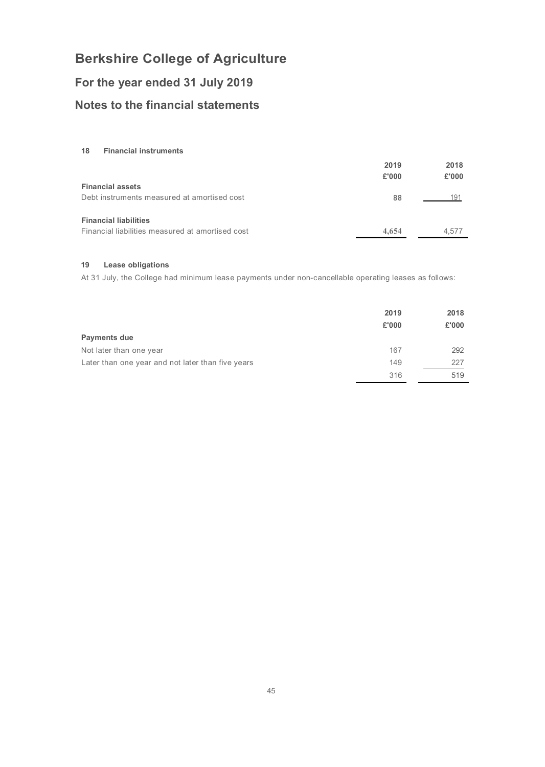## **For the year ended 31 July 2019**

## **Notes to the financial statements**

**18 Financial instruments**

|                                                  | 2019<br>£'000 | 2018<br>£'000 |
|--------------------------------------------------|---------------|---------------|
| <b>Financial assets</b>                          |               |               |
| Debt instruments measured at amortised cost      | 88            | 191           |
| <b>Financial liabilities</b>                     |               |               |
| Financial liabilities measured at amortised cost | 4,654         | 4.577         |

### **19 Lease obligations**

At 31 July, the College had minimum lease payments under non-cancellable operating leases as follows:

|                                                   | 2019<br>£'000 | 2018<br>£'000 |
|---------------------------------------------------|---------------|---------------|
| Payments due                                      |               |               |
| Not later than one year                           | 167           | 292           |
| Later than one year and not later than five years | 149           | 227           |
|                                                   | 316           | 519           |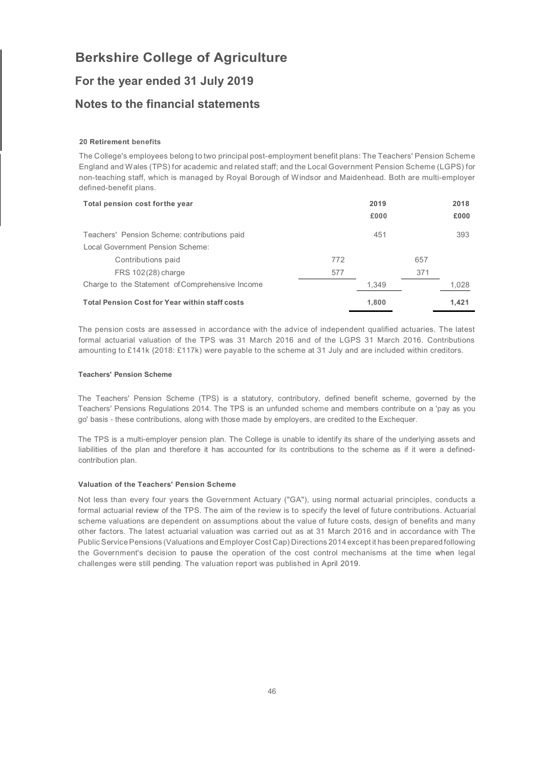### **For the year ended 31 July 2019**

### **Notes to the financial statements**

### **20 Retirement benefits**

The College's employees belong to two principal post-employment benefit plans: The Teachers' Pension Scheme England and Wales (TPS) for academic and related staff; and the Local Government Pension Scheme (LGPS) for non-teaching staff, which is managed by Royal Borough of Windsor and Maidenhead. Both are multi-employer defined-benefit plans.

| Total pension cost for the year                       |     | 2019  |     | 2018  |
|-------------------------------------------------------|-----|-------|-----|-------|
|                                                       |     | £000  |     | £000  |
| Teachers' Pension Scheme: contributions paid          |     | 451   |     | 393   |
| Local Government Pension Scheme:                      |     |       |     |       |
| Contributions paid                                    | 772 |       | 657 |       |
| FRS 102(28) charge                                    | 577 |       | 371 |       |
| Charge to the Statement of Comprehensive Income       |     | 1.349 |     | 1.028 |
| <b>Total Pension Cost for Year within staff costs</b> |     | 1,800 |     | 1.421 |

The pension costs are assessed in accordance with the advice of independent qualified actuaries. The latest formal actuarial valuation of the TPS was 31 March 2016 and of the LGPS 31 March 2016. Contributions amounting to £141k {2018: £117k) were payable to the scheme at 31 July and are included within creditors.

#### **Teachers' Pension Scheme**

The Teachers' Pension Scheme (TPS) is a statutory, contributory, defined benefit scheme, governed by the Teachers' Pensions Regulations 2014. The TPS is an unfunded scheme and members contribute on a 'pay as you go' basis - these contributions, along with those made by employers, are credited to the Exchequer.

The TPS is a multi-employer pension plan. The College is unable to identify its share of the underlying assets and liabilities of the plan and therefore it has accounted for its contributions to the scheme as if it were a definedcontribution plan.

### **Valuation of the Teachers' Pension Scheme**

Not less than every four years the Government Actuary ("GA"), using normal actuarial principles, conducts a formal actuarial review of the TPS. The aim of the review is to specify the level of future contributions. Actuarial scheme valuations are dependent on assumptions about the value of future costs, design of benefits and many other factors. The latest actuarial valuation was carried out as at 31 March 2016 and in accordance with The Public Service Pensions (Valuations and Employer Cost Cap) Directions 2014 except it has been prepared following the Government's decision to pause the operation of the cost control mechanisms at the time when legal challenges were still pending. The valuation report was published in April 2019.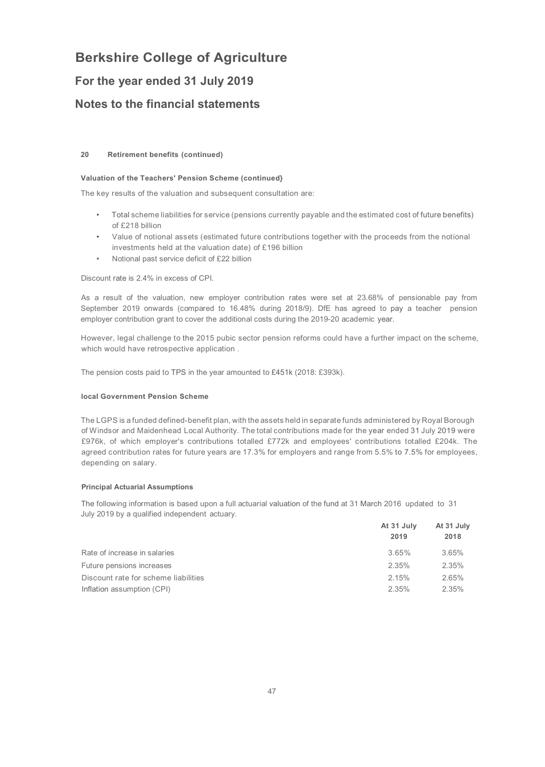### **For the year ended 31 July 2019**

### **Notes to the financial statements**

### **20 Retirement benefits (continued)**

### **Valuation of the Teachers' Pension Scheme (continued}**

The key results of the valuation and subsequent consultation are:

- Total scheme liabilities for service (pensions currently payable and the estimated cost of future benefits) of £218 billion
- Value of notional assets (estimated future contributions together with the proceeds from the notional investments held at the valuation date) of £196 billion
- Notional past service deficit of £22 billion

Discount rate is 2.4% in excess of CPI.

As a result of the valuation, new employer contribution rates were set at 23.68% of pensionable pay from September 2019 onwards (compared to 16.48% during 2018/9). DfE has agreed to pay a teacher pension employer contribution grant to cover the additional costs during the 2019-20 academic year.

However, legal challenge to the 2015 pubic sector pension reforms could have a further impact on the scheme, which would have retrospective application .

The pension costs paid to TPS in the year amounted to £451k (2018: £393k).

### **local Government Pension Scheme**

The LGPS is a funded defined-benefit plan, with the assets held in separate funds administered by Royal Borough of Windsor and Maidenhead Local Authority. The total contributions made for the year ended 31 July 2019 were £976k, of which employer's contributions totalled £772k and employees' contributions totalled £204k. The agreed contribution rates for future years are 17.3% for employers and range from 5.5% to 7.5% for employees, depending on salary.

### **Principal Actuarial Assumptions**

The following information is based upon a full actuarial valuation of the fund at 31 March 2016 updated to 31 July 2019 by a qualified independent actuary.

| At 31 July | At 31 July |  |
|------------|------------|--|
| 2019       | 2018       |  |
| 3.65%      | 3.65%      |  |
| 2.35%      | 2.35%      |  |
| 2.15%      | 2.65%      |  |
| 2.35%      | 2.35%      |  |
|            |            |  |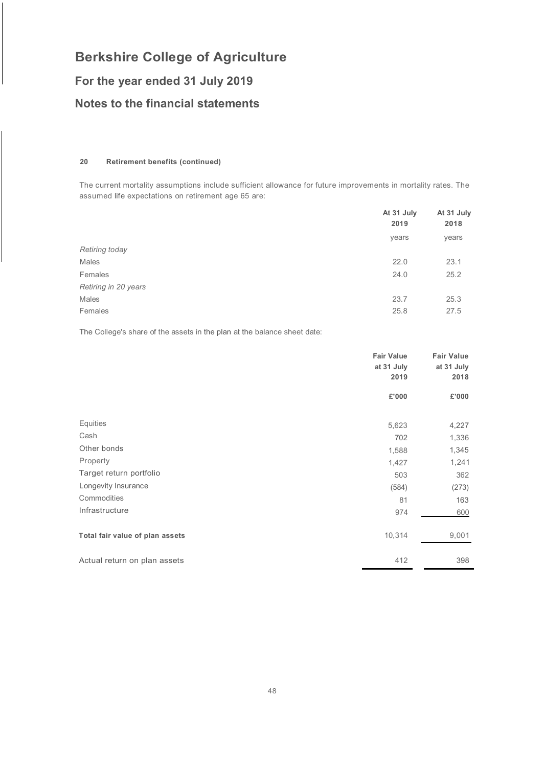## **For the year ended 31 July 2019**

### **Notes to the financial statements**

### **20 Retirement benefits (continued)**

The current mortality assumptions include sufficient allowance for future improvements in mortality rates. The assumed life expectations on retirement age 65 are:

|                      | At 31 July<br>2019 | At 31 July<br>2018<br>years |
|----------------------|--------------------|-----------------------------|
|                      | years              |                             |
| Retiring today       |                    |                             |
| Males                | 22.0               | 23.1                        |
| Females              | 24.0               | 25.2                        |
| Retiring in 20 years |                    |                             |
| Males                | 23.7               | 25.3                        |
| Females              | 25.8               | 27.5                        |
|                      |                    |                             |

The College's share of the assets in the plan at the balance sheet date:

|                                 | <b>Fair Value</b><br>at 31 July<br>2019 | <b>Fair Value</b><br>at 31 July<br>2018 |
|---------------------------------|-----------------------------------------|-----------------------------------------|
|                                 | £'000                                   | £'000                                   |
| Equities                        | 5,623                                   | 4,227                                   |
| Cash                            | 702                                     | 1,336                                   |
| Other bonds                     | 1,588                                   | 1,345                                   |
| Property                        | 1,427                                   | 1,241                                   |
| Target return portfolio         | 503                                     | 362                                     |
| Longevity Insurance             | (584)                                   | (273)                                   |
| Commodities                     | 81                                      | 163                                     |
| Infrastructure                  | 974                                     | 600                                     |
| Total fair value of plan assets | 10,314                                  | 9,001                                   |
| Actual return on plan assets    | 412                                     | 398                                     |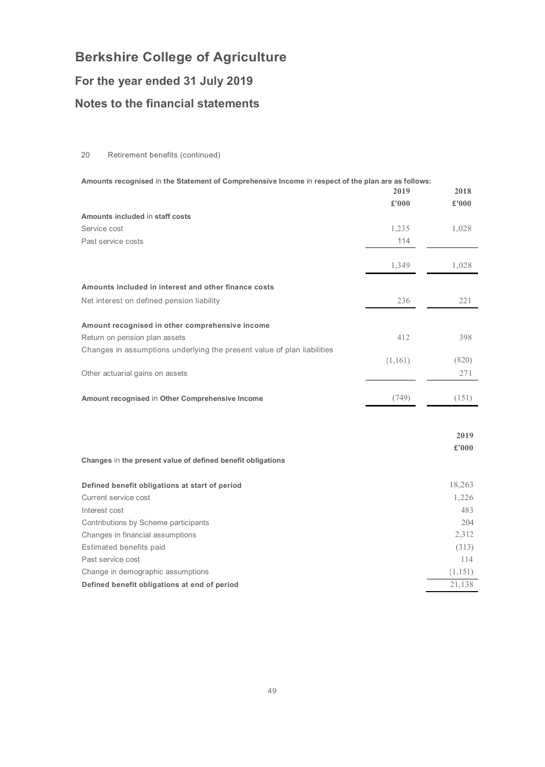## **For the year ended 31 July 2019**

## **Notes to the financial statements**

### 20 Retirement benefits (continued)

| Amounts recognised in the Statement of Comprehensive Income in respect of the plan are as follows:<br>2019<br>2018 |             |             |
|--------------------------------------------------------------------------------------------------------------------|-------------|-------------|
|                                                                                                                    | £'000       | £'000       |
| Amounts included in staff costs                                                                                    |             |             |
| Service cost                                                                                                       | 1,235       | 1,028       |
| Past service costs                                                                                                 | 114         |             |
|                                                                                                                    |             |             |
|                                                                                                                    | 1,349       | 1,028       |
| Amounts included in interest and other finance costs                                                               |             |             |
| Net interest on defined pension liability                                                                          | 236         | 221         |
|                                                                                                                    |             |             |
| Amount recognised in other comprehensive income                                                                    |             |             |
| Return on pension plan assets                                                                                      | 412         | 398         |
| Changes in assumptions underlying the present value of plan liabilities                                            |             |             |
|                                                                                                                    | $\{1,161\}$ | (820)       |
| Other actuarial gains on assets                                                                                    |             | 271         |
|                                                                                                                    |             |             |
| Amount recognised in Other Comprehensive Income                                                                    | (749)       | (151)       |
|                                                                                                                    |             |             |
|                                                                                                                    |             |             |
|                                                                                                                    |             | 2019        |
|                                                                                                                    |             | £'000       |
| Changes in the present value of defined benefit obligations                                                        |             |             |
| Defined benefit obligations at start of period                                                                     |             | 18,263      |
| Current service cost                                                                                               |             | 1,226       |
| Interest cost                                                                                                      |             | 483         |
| Contributions by Scheme participants                                                                               |             | 204         |
| Changes in financial assumptions                                                                                   |             | 2,312       |
| Estimated benefits paid                                                                                            |             | (313)       |
| Past service cost                                                                                                  |             | 114         |
| Change in demographic assumptions                                                                                  |             | $\{1,151\}$ |
| Defined benefit obligations at end of period                                                                       |             | 21.138      |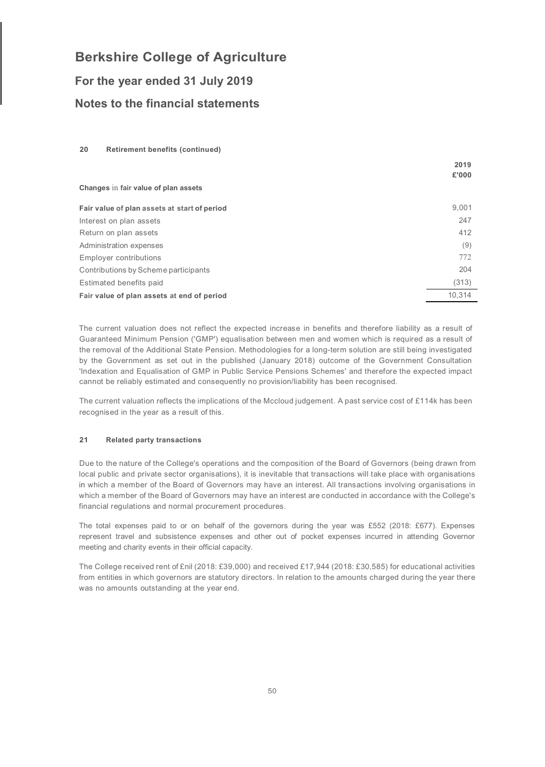## **For the year ended 31 July 2019 Notes to the financial statements**

### **20 Retirement benefits (continued)**

|                                              | 2019   |
|----------------------------------------------|--------|
|                                              | £'000  |
| Changes in fair value of plan assets         |        |
| Fair value of plan assets at start of period | 9,001  |
| Interest on plan assets                      | 247    |
| Return on plan assets                        | 412    |
| Administration expenses                      | (9)    |
| <b>Employer contributions</b>                | 772    |
| Contributions by Scheme participants         | 204    |
| Estimated benefits paid                      | (313)  |
| Fair value of plan assets at end of period   | 10.314 |

The current valuation does not reflect the expected increase in benefits and therefore liability as a result of Guaranteed Minimum Pension ('GMP') equalisation between men and women which is required as a result of the removal of the Additional State Pension. Methodologies for a long-term solution are still being investigated by the Government as set out in the published (January 2018) outcome of the Government Consultation 'Indexation and Equalisation of GMP in Public Service Pensions Schemes' and therefore the expected impact cannot be reliably estimated and consequently no provision/liability has been recognised.

The current valuation reflects the implications of the Mccloud judgement. A past service cost of £114k has been recognised in the year as a result of this.

### **21 Related party transactions**

Due to the nature of the College's operations and the composition of the Board of Governors (being drawn from local public and private sector organisations), it is inevitable that transactions will take place with organisations in which a member of the Board of Governors may have an interest. All transactions involving organisations in which a member of the Board of Governors may have an interest are conducted in accordance with the College's financial regulations and normal procurement procedures.

The total expenses paid to or on behalf of the governors during the year was £552 (2018: £677). Expenses represent travel and subsistence expenses and other out of pocket expenses incurred in attending Governor meeting and charity events in their official capacity.

The College received rent of £nil (2018: £39,000) and received £17,944 (2018: £30,585) for educational activities from entities in which governors are statutory directors. In relation to the amounts charged during the year there was no amounts outstanding at the year end.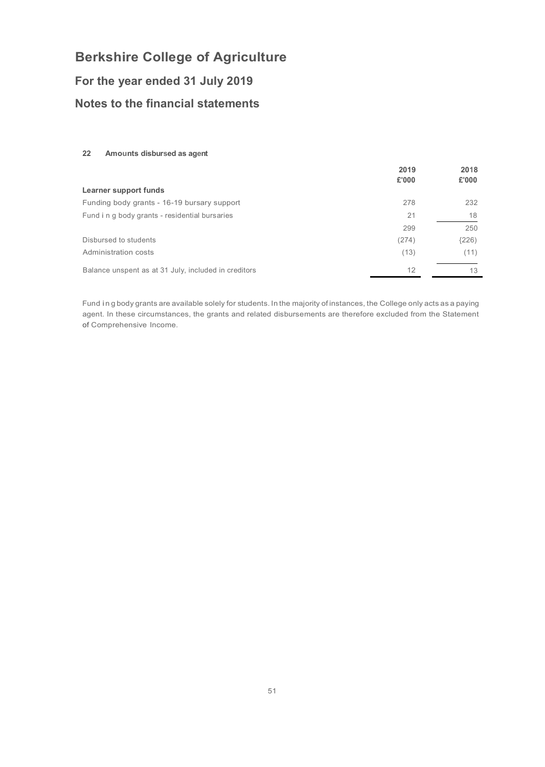## **For the year ended 31 July 2019**

## **Notes to the financial statements**

### **22 Amounts disbursed as agent**

|                                                      | 2019  | 2018  |
|------------------------------------------------------|-------|-------|
|                                                      | £'000 | £'000 |
| Learner support funds                                |       |       |
| Funding body grants - 16-19 bursary support          | 278   | 232   |
| Fund i n g body grants - residential bursaries       | 21    | 18    |
|                                                      | 299   | 250   |
| Disbursed to students                                | (274) | (226) |
| Administration costs                                 | (13)  | (11)  |
| Balance unspent as at 31 July, included in creditors | 12    | 13    |
|                                                      |       |       |

Fund in g body grants are available solely for students. In the majority of instances, the College only acts as a paying agent. In these circumstances, the grants and related disbursements are therefore excluded from the Statement of Comprehensive Income.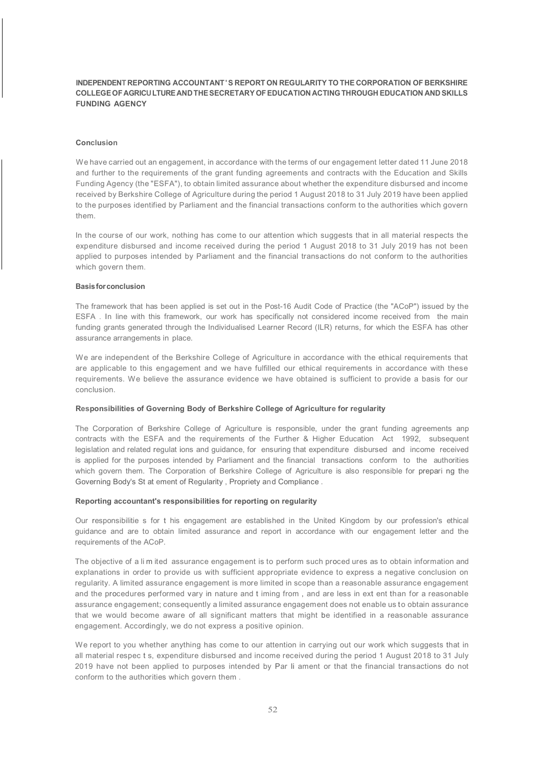### **INDEPENDENT REPORTING ACCOUNTANT'S REPORT ON REGULARITY TO THE CORPORATION OF BERKSHIRE COLLEGEOFAGRICULTUREANDTHESECRETARY OFEDUCATION ACTING THROUGH EDUCATION AND SKILLS FUNDING AGENCY**

#### **Conclusion**

We have carried out an engagement, in accordance with the terms of our engagement letter dated 11 June 2018 and further to the requirements of the grant funding agreements and contracts with the Education and Skills Funding Agency (the "ESFA"), to obtain limited assurance about whether the expenditure disbursed and income received by Berkshire College of Agriculture during the period 1 August 2018 to 31 July 2019 have been applied to the purposes identified by Parliament and the financial transactions conform to the authorities which govern them.

In the course of our work, nothing has come to our attention which suggests that in all material respects the expenditure disbursed and income received during the period 1 August 2018 to 31 July 2019 has not been applied to purposes intended by Parliament and the financial transactions do not conform to the authorities which govern them.

#### **Basisforconclusion**

The framework that has been applied is set out in the Post-16 Audit Code of Practice (the "ACoP") issued by the ESFA . In line with this framework, our work has specifically not considered income received from the main funding grants generated through the Individualised Learner Record (ILR) returns, for which the ESFA has other assurance arrangements in place.

We are independent of the Berkshire College of Agriculture in accordance with the ethical requirements that are applicable to this engagement and we have fulfilled our ethical requirements in accordance with these requirements. We believe the assurance evidence we have obtained is sufficient to provide a basis for our conclusion.

#### **Responsibilities of Governing Body of Berkshire College of Agriculture for regularity**

The Corporation of Berkshire College of Agriculture is responsible, under the grant funding agreements anp contracts with the ESFA and the requirements of the Further & Higher Education Act 1992, subsequent legislation and related regulat ions and guidance, for ensuring that expenditure disbursed and income received is applied for the purposes intended by Parliament and the financial transactions conform to the authorities which govern them. The Corporation of Berkshire College of Agriculture is also responsible for prepari ng the Governing Body's St at ement of Regularity , Propriety and Compliance .

#### **Reporting accountant's responsibilities for reporting on regularity**

Our responsibilitie s for t his engagement are established in the United Kingdom by our profession's ethical guidance and are to obtain limited assurance and report in accordance with our engagement letter and the requirements of the ACoP.

The objective of a li m ited assurance engagement is to perform such proced ures as to obtain information and explanations in order to provide us with sufficient appropriate evidence to express a negative conclusion on regularity. A limited assurance engagement is more limited in scope than a reasonable assurance engagement and the procedures performed vary in nature and t iming from , and are less in ext ent than for a reasonable assurance engagement; consequently a limited assurance engagement does not enable us to obtain assurance that we would become aware of all significant matters that might be identified in a reasonable assurance engagement. Accordingly, we do not express a positive opinion.

We report to you whether anything has come to our attention in carrying out our work which suggests that in all material respec t s, expenditure disbursed and income received during the period 1 August 2018 to 31 July 2019 have not been applied to purposes intended by Par li ament or that the financial transactions do not conform to the authorities which govern them .